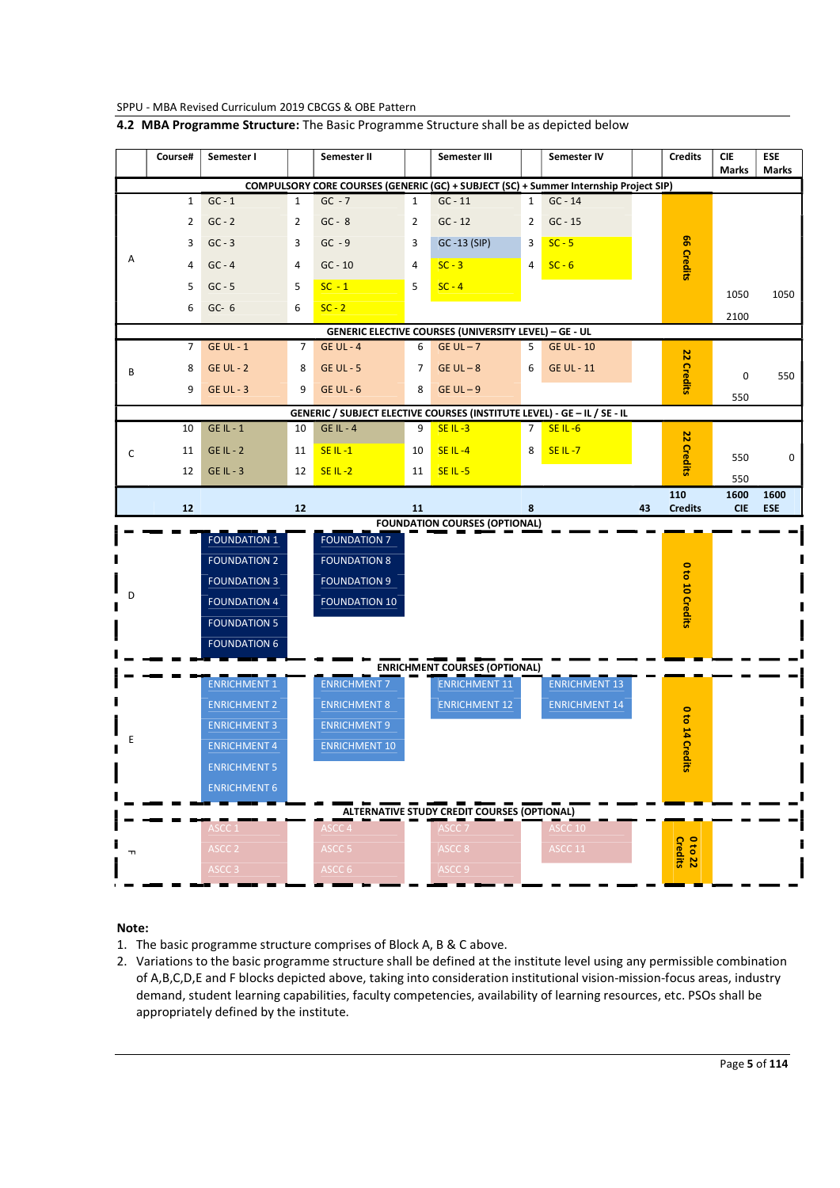|  | 4.2 MBA Programme Structure: The Basic Programme Structure shall be as depicted below |  |
|--|---------------------------------------------------------------------------------------|--|
|--|---------------------------------------------------------------------------------------|--|

|                                                                          | Course#        | Semester I          |              | Semester II                                                                           |              | Semester III                                                     |                | Semester IV          |    | <b>Credits</b>     | <b>CIE</b><br><b>Marks</b> | <b>ESE</b><br><b>Marks</b> |
|--------------------------------------------------------------------------|----------------|---------------------|--------------|---------------------------------------------------------------------------------------|--------------|------------------------------------------------------------------|----------------|----------------------|----|--------------------|----------------------------|----------------------------|
|                                                                          |                |                     |              | COMPULSORY CORE COURSES (GENERIC (GC) + SUBJECT (SC) + Summer Internship Project SIP) |              |                                                                  |                |                      |    |                    |                            |                            |
|                                                                          | $\mathbf{1}$   | $GC - 1$            | $\mathbf{1}$ | $GC - 7$                                                                              | $\mathbf{1}$ | $GC - 11$                                                        | $1 \mid$       | $GC - 14$            |    |                    |                            |                            |
|                                                                          | $\overline{2}$ | $GC - 2$            | 2            | $GC - 8$                                                                              | 2            | $GC - 12$                                                        | 2              | $GC - 15$            |    |                    |                            |                            |
|                                                                          | 3              | $GC - 3$            | 3            | $GC - 9$                                                                              | 3            | GC-13 (SIP)                                                      | 3              | $SC - 5$             |    |                    |                            |                            |
| Α                                                                        | 4              | $GC - 4$            | 4            | $GC - 10$                                                                             | 4            | $SC - 3$                                                         | 4              | $SC - 6$             |    | 66 Credits         |                            |                            |
|                                                                          | 5              | $GC - 5$            | 5            | $SC - 1$                                                                              | 5            | $SC - 4$                                                         |                |                      |    |                    | 1050                       | 1050                       |
|                                                                          | 6              | $GC-6$              | 6            | $SC - 2$                                                                              |              |                                                                  |                |                      |    |                    | 2100                       |                            |
| GENERIC ELECTIVE COURSES (UNIVERSITY LEVEL) - GE - UL                    |                |                     |              |                                                                                       |              |                                                                  |                |                      |    |                    |                            |                            |
|                                                                          | 7              | <b>GE UL - 1</b>    | 7            | <b>GE UL - 4</b>                                                                      | 6            | $GE UL - 7$                                                      | 5              | <b>GE UL - 10</b>    |    |                    |                            |                            |
| В                                                                        | 8              | $GE UL - 2$         | 8            | <b>GE UL - 5</b>                                                                      | 7            | $GE UL - 8$                                                      | 6              | <b>GE UL - 11</b>    |    | 22                 | $\mathsf 0$                | 550                        |
|                                                                          | 9              | <b>GE UL - 3</b>    | 9            | $GE UL - 6$                                                                           | 8            | $GE UL - 9$                                                      |                |                      |    | Credits            | 550                        |                            |
| GENERIC / SUBJECT ELECTIVE COURSES (INSTITUTE LEVEL) - GE - IL / SE - IL |                |                     |              |                                                                                       |              |                                                                  |                |                      |    |                    |                            |                            |
|                                                                          | 10             | <b>GE IL - 1</b>    | 10           | $GE IL - 4$                                                                           | 9            | $SE IL - 3$                                                      | $\overline{7}$ | $SE IL - 6$          |    | 22                 |                            |                            |
| C                                                                        | 11             | $GE IL - 2$         | 11           | $SEIL - 1$                                                                            | 10           | <b>SE IL-4</b>                                                   | 8              | $SEIL - 7$           |    |                    | 550                        | 0                          |
|                                                                          | 12             | $GE IL - 3$         | 12           | $SEIL-2$                                                                              | 11           | $SE IL - 5$                                                      |                |                      |    | Credits            | 550                        |                            |
|                                                                          |                |                     |              |                                                                                       |              |                                                                  |                |                      |    | 110                | 1600                       | 1600                       |
|                                                                          | 12             |                     | 12           |                                                                                       | 11           |                                                                  | 8              |                      | 43 | <b>Credits</b>     | <b>CIE</b>                 | <b>ESE</b>                 |
|                                                                          |                | <b>FOUNDATION 1</b> |              | <b>FOUNDATION 7</b>                                                                   |              | <b>FOUNDATION COURSES (OPTIONAL)</b>                             |                |                      |    |                    |                            |                            |
|                                                                          |                |                     |              |                                                                                       |              |                                                                  |                |                      |    |                    |                            |                            |
|                                                                          |                | <b>FOUNDATION 2</b> |              | <b>FOUNDATION 8</b>                                                                   |              |                                                                  |                |                      |    | $\bullet$          |                            |                            |
| D                                                                        |                | <b>FOUNDATION 3</b> |              | <b>FOUNDATION 9</b>                                                                   |              |                                                                  |                |                      |    |                    |                            |                            |
|                                                                          |                | <b>FOUNDATION 4</b> |              | <b>FOUNDATION 10</b>                                                                  |              |                                                                  |                |                      |    | to 10 Credits      |                            |                            |
|                                                                          |                | <b>FOUNDATION 5</b> |              |                                                                                       |              |                                                                  |                |                      |    |                    |                            |                            |
|                                                                          |                | <b>FOUNDATION 6</b> |              |                                                                                       |              |                                                                  |                |                      |    |                    |                            |                            |
|                                                                          |                | <b>ENRICHMENT 1</b> |              | <b>ENRICHMENT 7</b>                                                                   |              | <b>ENRICHMENT COURSES (OPTIONAL)</b><br><b>ENRICHMENT 11</b>     |                | <b>ENRICHMENT 13</b> |    |                    |                            |                            |
|                                                                          |                | <b>ENRICHMENT 2</b> |              | <b>ENRICHMENT 8</b>                                                                   |              | <b>ENRICHMENT 12</b>                                             |                | <b>ENRICHMENT 14</b> |    |                    |                            |                            |
|                                                                          |                | <b>ENRICHMENT 3</b> |              | <b>ENRICHMENT 9</b>                                                                   |              |                                                                  |                |                      |    |                    |                            |                            |
| Ε                                                                        |                | <b>ENRICHMENT 4</b> |              | <b>ENRICHMENT 10</b>                                                                  |              |                                                                  |                |                      |    |                    |                            |                            |
|                                                                          |                | <b>ENRICHMENT 5</b> |              |                                                                                       |              |                                                                  |                |                      |    | 0 to 14 Credits    |                            |                            |
|                                                                          |                | <b>ENRICHMENT 6</b> |              |                                                                                       |              |                                                                  |                |                      |    |                    |                            |                            |
|                                                                          |                |                     |              |                                                                                       |              |                                                                  |                |                      |    |                    |                            |                            |
|                                                                          |                | ASCC 1              |              | ASCC <sub>4</sub>                                                                     |              | ALTERNATIVE STUDY CREDIT COURSES (OPTIONAL)<br>ASCC <sub>7</sub> |                | ASCC 10              |    |                    |                            |                            |
|                                                                          |                | ASCC <sub>2</sub>   |              | ASCC <sub>5</sub>                                                                     |              | ASCC 8                                                           |                | ASCC 11              |    |                    |                            |                            |
| ᆩ                                                                        |                | ASCC <sub>3</sub>   |              | ASCC 6                                                                                |              | ASCC <sub>9</sub>                                                |                |                      |    | 0 to 22<br>Credits |                            |                            |
|                                                                          |                |                     |              |                                                                                       |              |                                                                  |                |                      |    |                    |                            |                            |

# Note:

- 1. The basic programme structure comprises of Block A, B & C above.
- 2. Variations to the basic programme structure shall be defined at the institute level using any permissible combination of A,B,C,D,E and F blocks depicted above, taking into consideration institutional vision-mission-focus areas, industry demand, student learning capabilities, faculty competencies, availability of learning resources, etc. PSOs shall be appropriately defined by the institute.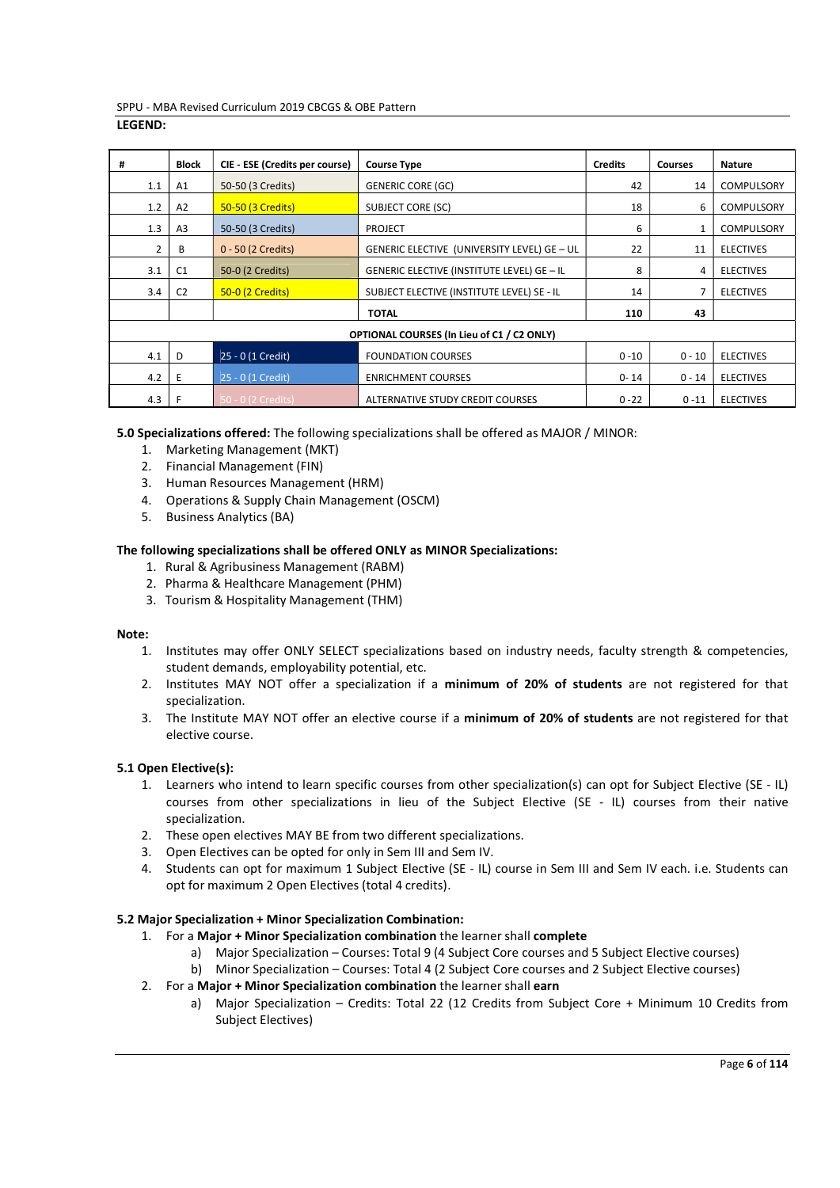| #              | <b>Block</b>   | CIE - ESE (Credits per course) | <b>Course Type</b>                          | <b>Credits</b> | <b>Courses</b> | <b>Nature</b>     |
|----------------|----------------|--------------------------------|---------------------------------------------|----------------|----------------|-------------------|
| 1.1            | A1             | 50-50 (3 Credits)              | <b>GENERIC CORE (GC)</b>                    | 42             | 14             | <b>COMPULSORY</b> |
| 1.2            | A2             | 50-50 (3 Credits)              | <b>SUBJECT CORE (SC)</b>                    | 18             | 6              | COMPULSORY        |
| 1.3            | A <sub>3</sub> | 50-50 (3 Credits)              | <b>PROJECT</b>                              | 6              | $\mathbf{1}$   | <b>COMPULSORY</b> |
| $\overline{2}$ | B              | 0 - 50 (2 Credits)             | GENERIC ELECTIVE (UNIVERSITY LEVEL) GE - UL | 22             | 11             | <b>ELECTIVES</b>  |
| 3.1            | C <sub>1</sub> | 50-0 (2 Credits)               | GENERIC ELECTIVE (INSTITUTE LEVEL) GE - IL  | 8              | 4              | <b>ELECTIVES</b>  |
| 3.4            | C <sub>2</sub> | 50-0 (2 Credits)               | SUBJECT ELECTIVE (INSTITUTE LEVEL) SE - IL  | 14             | 7              | <b>ELECTIVES</b>  |
|                |                |                                | <b>TOTAL</b>                                | 110            | 43             |                   |
|                |                |                                |                                             |                |                |                   |
|                |                |                                | OPTIONAL COURSES (In Lieu of C1 / C2 ONLY)  |                |                |                   |
| 4.1            | D              | 25 - 0 (1 Credit)              | <b>FOUNDATION COURSES</b>                   | $0 - 10$       | $0 - 10$       | <b>ELECTIVES</b>  |
| 4.2            | Ε              | 25 - 0 (1 Credit)              | <b>ENRICHMENT COURSES</b>                   | $0 - 14$       | $0 - 14$       | <b>ELECTIVES</b>  |
| 4.3            | F              | 50 - 0 (2 Credits)             | ALTERNATIVE STUDY CREDIT COURSES            | $0 - 22$       | $0 - 11$       | <b>ELECTIVES</b>  |

5.0 Specializations offered: The following specializations shall be offered as MAJOR / MINOR:

- 1. Marketing Management (MKT)
- 2. Financial Management (FIN)
- 3. Human Resources Management (HRM)
- 4. Operations & Supply Chain Management (OSCM)
- 5. Business Analytics (BA)

# The following specializations shall be offered ONLY as MINOR Specializations:

- 1. Rural & Agribusiness Management (RABM)
- 2. Pharma & Healthcare Management (PHM)
- 3. Tourism & Hospitality Management (THM)

### Note:

- 1. Institutes may offer ONLY SELECT specializations based on industry needs, faculty strength & competencies, student demands, employability potential, etc.
- 2. Institutes MAY NOT offer a specialization if a minimum of 20% of students are not registered for that specialization.
- 3. The Institute MAY NOT offer an elective course if a minimum of 20% of students are not registered for that elective course.

# 5.1 Open Elective(s):

- 1. Learners who intend to learn specific courses from other specialization(s) can opt for Subject Elective (SE IL) courses from other specializations in lieu of the Subject Elective (SE - IL) courses from their native specialization.
- 2. These open electives MAY BE from two different specializations.
- 3. Open Electives can be opted for only in Sem III and Sem IV.
- 4. Students can opt for maximum 1 Subject Elective (SE IL) course in Sem III and Sem IV each. i.e. Students can opt for maximum 2 Open Electives (total 4 credits).

# 5.2 Major Specialization + Minor Specialization Combination:

- 1. For a Major + Minor Specialization combination the learner shall complete
	- a) Major Specialization Courses: Total 9 (4 Subject Core courses and 5 Subject Elective courses)
	- b) Minor Specialization Courses: Total 4 (2 Subject Core courses and 2 Subject Elective courses)
- 2. For a Major + Minor Specialization combination the learner shall earn
	- a) Major Specialization Credits: Total 22 (12 Credits from Subject Core + Minimum 10 Credits from Subject Electives)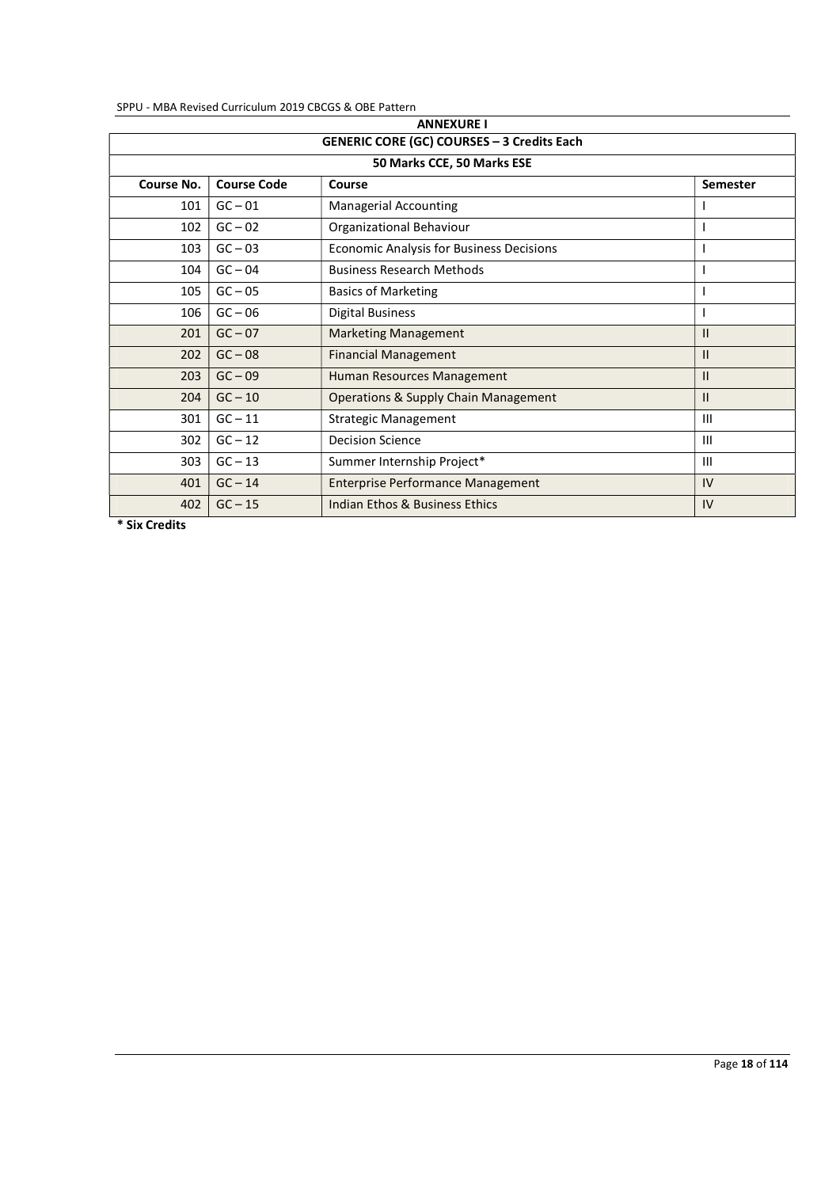| <b>GENERIC CORE (GC) COURSES - 3 Credits Each</b> |                    |                                                 |                |  |  |
|---------------------------------------------------|--------------------|-------------------------------------------------|----------------|--|--|
|                                                   |                    | 50 Marks CCE, 50 Marks ESE                      |                |  |  |
| Course No.                                        | <b>Course Code</b> | Course                                          | Semester       |  |  |
| 101                                               | $GC - 01$          | <b>Managerial Accounting</b>                    |                |  |  |
| 102                                               | $GC - 02$          | Organizational Behaviour                        |                |  |  |
| 103                                               | $GC - 03$          | <b>Economic Analysis for Business Decisions</b> |                |  |  |
| 104                                               | $GC - 04$          | <b>Business Research Methods</b>                |                |  |  |
| 105                                               | $GC - 05$          | <b>Basics of Marketing</b>                      |                |  |  |
| 106                                               | $GC - 06$          | <b>Digital Business</b>                         |                |  |  |
| 201                                               | $GC - 07$          | <b>Marketing Management</b>                     | $\mathbf{II}$  |  |  |
| 202                                               | $GC - 08$          | <b>Financial Management</b>                     | $\mathbf{II}$  |  |  |
| 203                                               | $GC - 09$          | Human Resources Management                      | $\mathbf{II}$  |  |  |
| 204                                               | $GC - 10$          | <b>Operations &amp; Supply Chain Management</b> | $\mathbf{II}$  |  |  |
| 301                                               | $GC - 11$          | <b>Strategic Management</b>                     | $\mathbf{III}$ |  |  |
| 302                                               | $GC - 12$          | <b>Decision Science</b>                         | $\mathbf{III}$ |  |  |
| 303                                               | $GC - 13$          | Summer Internship Project*                      | III            |  |  |
| 401                                               | $GC - 14$          | <b>Enterprise Performance Management</b>        | IV             |  |  |
| 402                                               | $GC - 15$          | Indian Ethos & Business Ethics                  | IV             |  |  |

\* Six Credits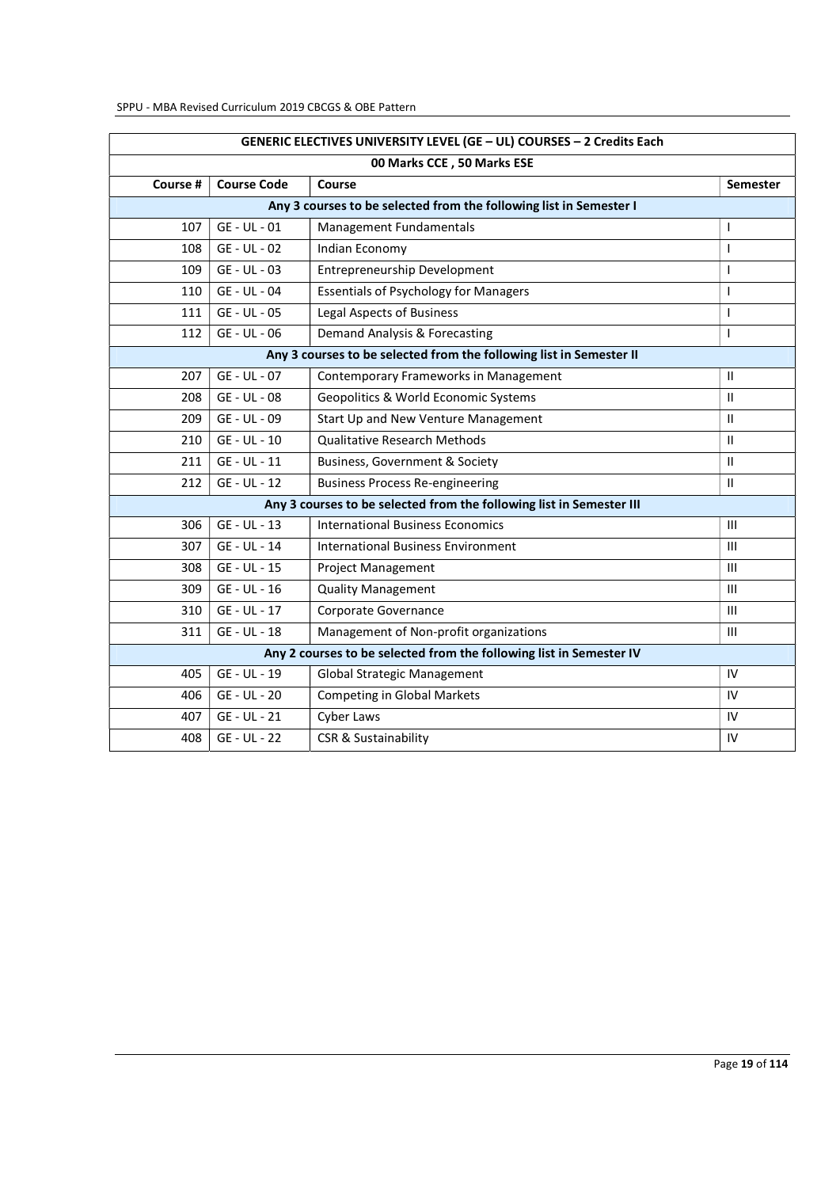| GENERIC ELECTIVES UNIVERSITY LEVEL (GE - UL) COURSES - 2 Credits Each |                    |                                                                      |                 |  |  |
|-----------------------------------------------------------------------|--------------------|----------------------------------------------------------------------|-----------------|--|--|
|                                                                       |                    | 00 Marks CCE, 50 Marks ESE                                           |                 |  |  |
| Course #                                                              | <b>Course Code</b> | Course                                                               | <b>Semester</b> |  |  |
|                                                                       |                    | Any 3 courses to be selected from the following list in Semester I   |                 |  |  |
| 107                                                                   | GE - UL - 01       | Management Fundamentals                                              | <b>I</b>        |  |  |
| 108                                                                   | GE - UL - 02       | Indian Economy                                                       | $\mathbf{I}$    |  |  |
| 109                                                                   | GE - UL - 03       | Entrepreneurship Development                                         | ı               |  |  |
| 110                                                                   | GE - UL - 04       | <b>Essentials of Psychology for Managers</b>                         | I               |  |  |
| 111                                                                   | GE - UL - 05       | <b>Legal Aspects of Business</b>                                     | I               |  |  |
| 112                                                                   | GE - UL - 06       | Demand Analysis & Forecasting                                        | ı               |  |  |
|                                                                       |                    | Any 3 courses to be selected from the following list in Semester II  |                 |  |  |
| 207                                                                   | GE - UL - 07       | Contemporary Frameworks in Management                                | $\mathbf{H}$    |  |  |
| 208                                                                   | GE - UL - 08       | Geopolitics & World Economic Systems                                 | $\mathbf{H}$    |  |  |
| 209                                                                   | GE - UL - 09       | Start Up and New Venture Management                                  | $\mathbf{H}$    |  |  |
| 210                                                                   | GE - UL - 10       | <b>Qualitative Research Methods</b>                                  | $\mathbf{H}$    |  |  |
| 211                                                                   | GE - UL - 11       | Business, Government & Society                                       | $\mathbf{H}$    |  |  |
| 212                                                                   | GE - UL - 12       | <b>Business Process Re-engineering</b>                               | $\mathbf{H}$    |  |  |
|                                                                       |                    | Any 3 courses to be selected from the following list in Semester III |                 |  |  |
| 306                                                                   | GE - UL - 13       | <b>International Business Economics</b>                              | Ш               |  |  |
| 307                                                                   | GE - UL - 14       | <b>International Business Environment</b>                            | $\mathbf{III}$  |  |  |
| 308                                                                   | GE - UL - 15       | <b>Project Management</b>                                            | $\mathbf{H}$    |  |  |
| 309                                                                   | GE - UL - 16       | <b>Quality Management</b>                                            | $\mathbf{III}$  |  |  |
| 310                                                                   | GE - UL - 17       | Corporate Governance                                                 | Ш               |  |  |
| 311                                                                   | GE - UL - 18       | Management of Non-profit organizations                               | III             |  |  |
| Any 2 courses to be selected from the following list in Semester IV   |                    |                                                                      |                 |  |  |
| 405                                                                   | GE - UL - 19       | Global Strategic Management                                          | IV              |  |  |
| 406                                                                   | GE - UL - 20       | <b>Competing in Global Markets</b>                                   | IV              |  |  |
| 407                                                                   | GE - UL - 21       | Cyber Laws                                                           | IV              |  |  |
| 408                                                                   | GE - UL - 22       | CSR & Sustainability                                                 | IV              |  |  |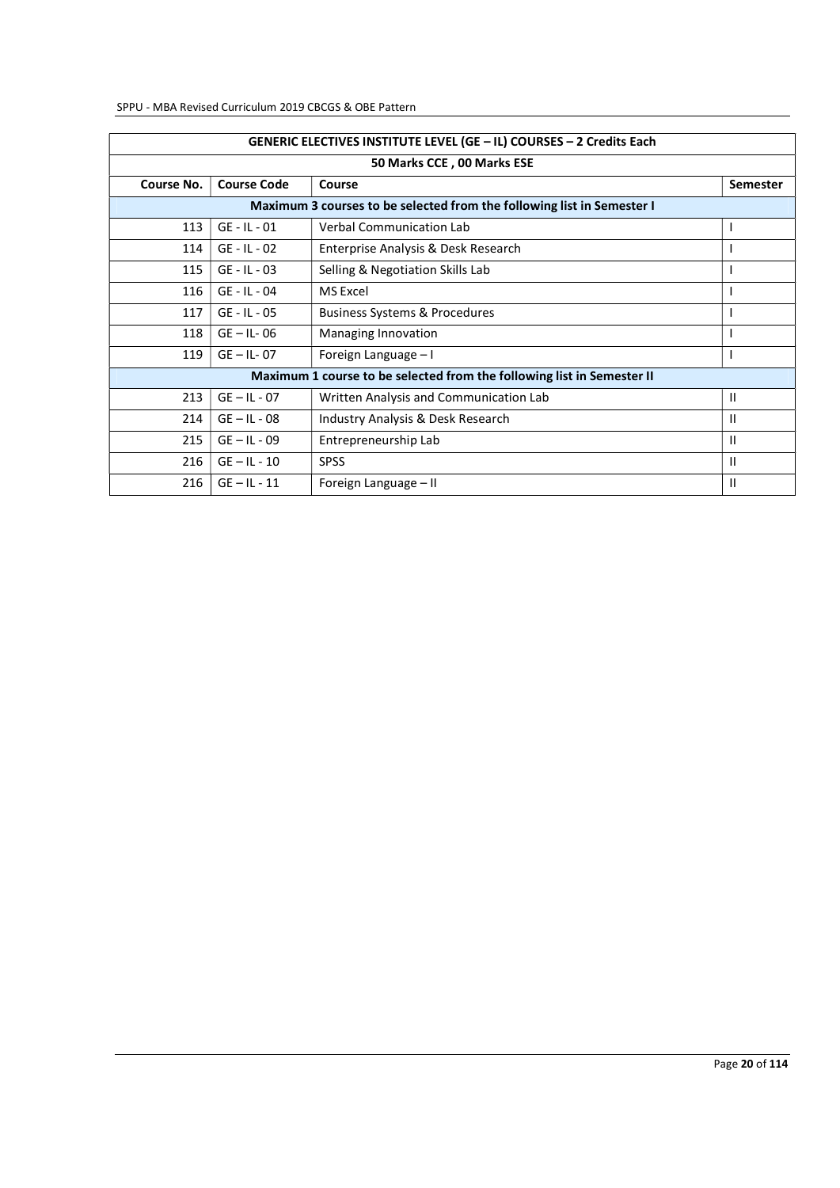|            | GENERIC ELECTIVES INSTITUTE LEVEL (GE - IL) COURSES - 2 Credits Each |                                                                        |                 |  |  |  |
|------------|----------------------------------------------------------------------|------------------------------------------------------------------------|-----------------|--|--|--|
|            |                                                                      | 50 Marks CCE, 00 Marks ESE                                             |                 |  |  |  |
| Course No. | <b>Course Code</b>                                                   | Course                                                                 | <b>Semester</b> |  |  |  |
|            |                                                                      | Maximum 3 courses to be selected from the following list in Semester I |                 |  |  |  |
| 113        | $GE - IL - 01$                                                       | <b>Verbal Communication Lab</b>                                        |                 |  |  |  |
| 114        | $GE - IL - 02$                                                       | Enterprise Analysis & Desk Research                                    |                 |  |  |  |
| 115        | $GE - IL - 03$                                                       | Selling & Negotiation Skills Lab                                       |                 |  |  |  |
| 116        | $GE - IL - 04$                                                       | <b>MS Excel</b>                                                        |                 |  |  |  |
| 117        | $GE - IL - 05$                                                       | <b>Business Systems &amp; Procedures</b>                               |                 |  |  |  |
| 118        | $GE - IL - 06$                                                       | Managing Innovation                                                    |                 |  |  |  |
| 119        | $GE - IL - 07$                                                       | Foreign Language - I                                                   |                 |  |  |  |
|            |                                                                      | Maximum 1 course to be selected from the following list in Semester II |                 |  |  |  |
| 213        | $GE - IL - 07$                                                       | Written Analysis and Communication Lab                                 | Ш               |  |  |  |
| 214        | $GE - IL - 08$                                                       | Industry Analysis & Desk Research                                      | Ш               |  |  |  |
| 215        | $GE - IL - 09$                                                       | Entrepreneurship Lab                                                   | $\mathbf{H}$    |  |  |  |
| 216        | $GE - IL - 10$                                                       | <b>SPSS</b>                                                            | $\mathbf{H}$    |  |  |  |
| 216        | $GE - IL - 11$                                                       | Foreign Language - II                                                  | $\mathbf{I}$    |  |  |  |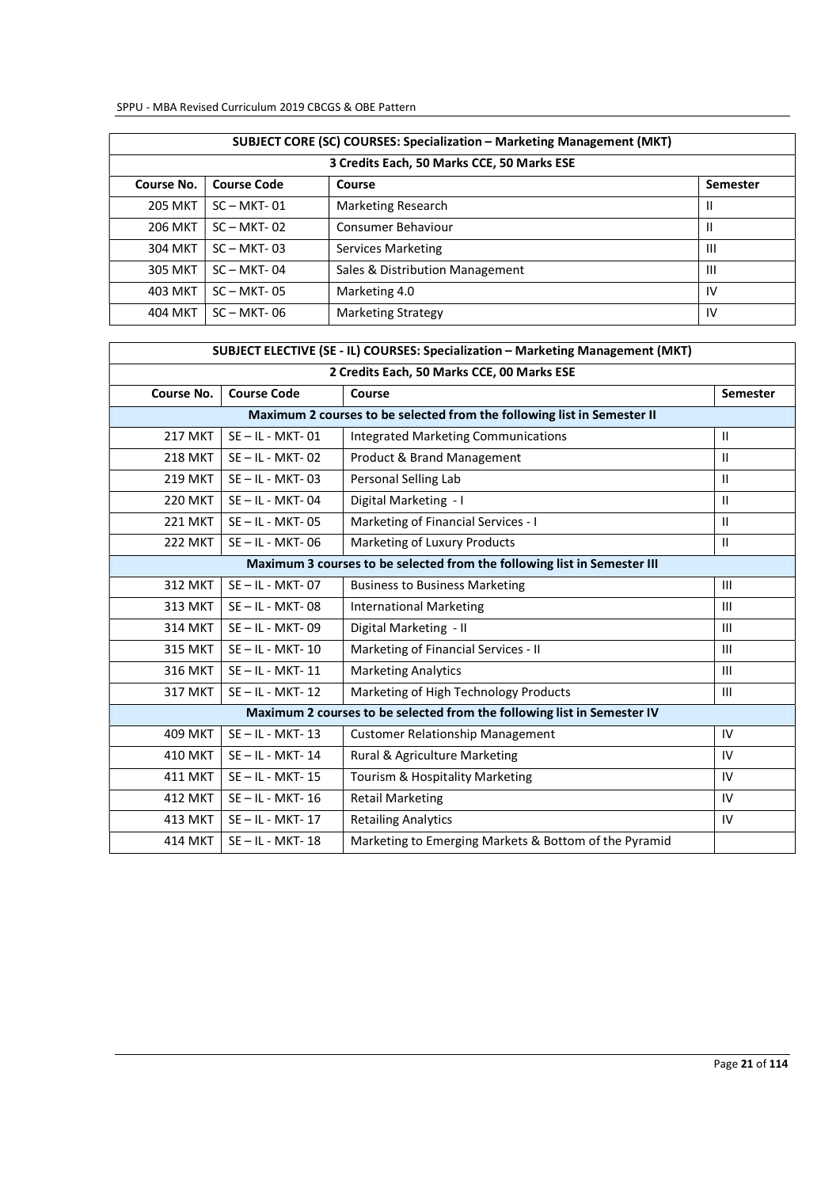| SUBJECT CORE (SC) COURSES: Specialization - Marketing Management (MKT) |                    |                                            |                |  |  |
|------------------------------------------------------------------------|--------------------|--------------------------------------------|----------------|--|--|
|                                                                        |                    | 3 Credits Each, 50 Marks CCE, 50 Marks ESE |                |  |  |
| Course No.                                                             | <b>Course Code</b> | Course                                     | Semester       |  |  |
| <b>205 MKT</b>                                                         | $SC - MKT - 01$    | Marketing Research                         | Ш              |  |  |
| <b>206 MKT</b>                                                         | $SC - MKT - 02$    | Consumer Behaviour                         | $\mathbf{I}$   |  |  |
| 304 MKT                                                                | $SC - MKT - 03$    | Services Marketing                         | $\mathbf{III}$ |  |  |
| <b>305 MKT</b>                                                         | $SC - MKT - 04$    | Sales & Distribution Management            | $\mathbf{III}$ |  |  |
| <b>403 MKT</b>                                                         | $SC - MKT - 05$    | Marketing 4.0                              | IV             |  |  |
| 404 MKT                                                                | $SC-MKT-06$        | <b>Marketing Strategy</b>                  | IV             |  |  |

| SUBJECT ELECTIVE (SE - IL) COURSES: Specialization - Marketing Management (MKT) |                      |                                                                          |                 |  |  |
|---------------------------------------------------------------------------------|----------------------|--------------------------------------------------------------------------|-----------------|--|--|
|                                                                                 |                      | 2 Credits Each, 50 Marks CCE, 00 Marks ESE                               |                 |  |  |
| Course No.                                                                      | <b>Course Code</b>   | Course                                                                   | <b>Semester</b> |  |  |
|                                                                                 |                      | Maximum 2 courses to be selected from the following list in Semester II  |                 |  |  |
| <b>217 MKT</b>                                                                  | $SE - IL - MKT - 01$ | <b>Integrated Marketing Communications</b>                               | $\mathbf{H}$    |  |  |
| <b>218 MKT</b>                                                                  | $SE - IL - MKT - 02$ | Product & Brand Management                                               | Ш               |  |  |
| <b>219 MKT</b>                                                                  | $SE - IL - MKT - 03$ | Personal Selling Lab                                                     | Ш               |  |  |
| <b>220 MKT</b>                                                                  | $SE - IL - MKT - 04$ | Digital Marketing - I                                                    | $\mathbf{H}$    |  |  |
| <b>221 MKT</b>                                                                  | $SE - IL - MKT - 05$ | Marketing of Financial Services - I                                      | $\mathsf{II}$   |  |  |
| <b>222 MKT</b>                                                                  | $SE - IL - MKT - 06$ | Marketing of Luxury Products                                             | $\mathbf{H}$    |  |  |
|                                                                                 |                      | Maximum 3 courses to be selected from the following list in Semester III |                 |  |  |
| <b>312 MKT</b>                                                                  | SE-IL-MKT-07         | <b>Business to Business Marketing</b>                                    | III             |  |  |
| 313 MKT                                                                         | $SE - IL - MKT - 08$ | <b>International Marketing</b>                                           | $\mathbf{III}$  |  |  |
| <b>314 MKT</b>                                                                  | $SE - IL - MKT - 09$ | Digital Marketing - II                                                   | III             |  |  |
| <b>315 MKT</b>                                                                  | $SE - IL - MKT - 10$ | Marketing of Financial Services - II                                     | $\mathbf{III}$  |  |  |
| <b>316 MKT</b>                                                                  | $SE - IL - MKT - 11$ | <b>Marketing Analytics</b>                                               | III             |  |  |
| 317 MKT                                                                         | SE-IL-MKT-12         | Marketing of High Technology Products                                    | III             |  |  |
|                                                                                 |                      | Maximum 2 courses to be selected from the following list in Semester IV  |                 |  |  |
| <b>409 MKT</b>                                                                  | $SE - IL - MKT - 13$ | <b>Customer Relationship Management</b>                                  | IV              |  |  |
| <b>410 MKT</b>                                                                  | $SE - IL - MKT - 14$ | Rural & Agriculture Marketing                                            | IV              |  |  |
| <b>411 MKT</b>                                                                  | $SE - IL - MKT - 15$ | Tourism & Hospitality Marketing                                          | IV              |  |  |
| <b>412 MKT</b>                                                                  | $SE - IL - MKT - 16$ | <b>Retail Marketing</b>                                                  | IV              |  |  |
| <b>413 MKT</b>                                                                  | $SE - IL - MKT - 17$ | <b>Retailing Analytics</b>                                               | IV              |  |  |
| <b>414 MKT</b>                                                                  | $SE - IL - MKT - 18$ | Marketing to Emerging Markets & Bottom of the Pyramid                    |                 |  |  |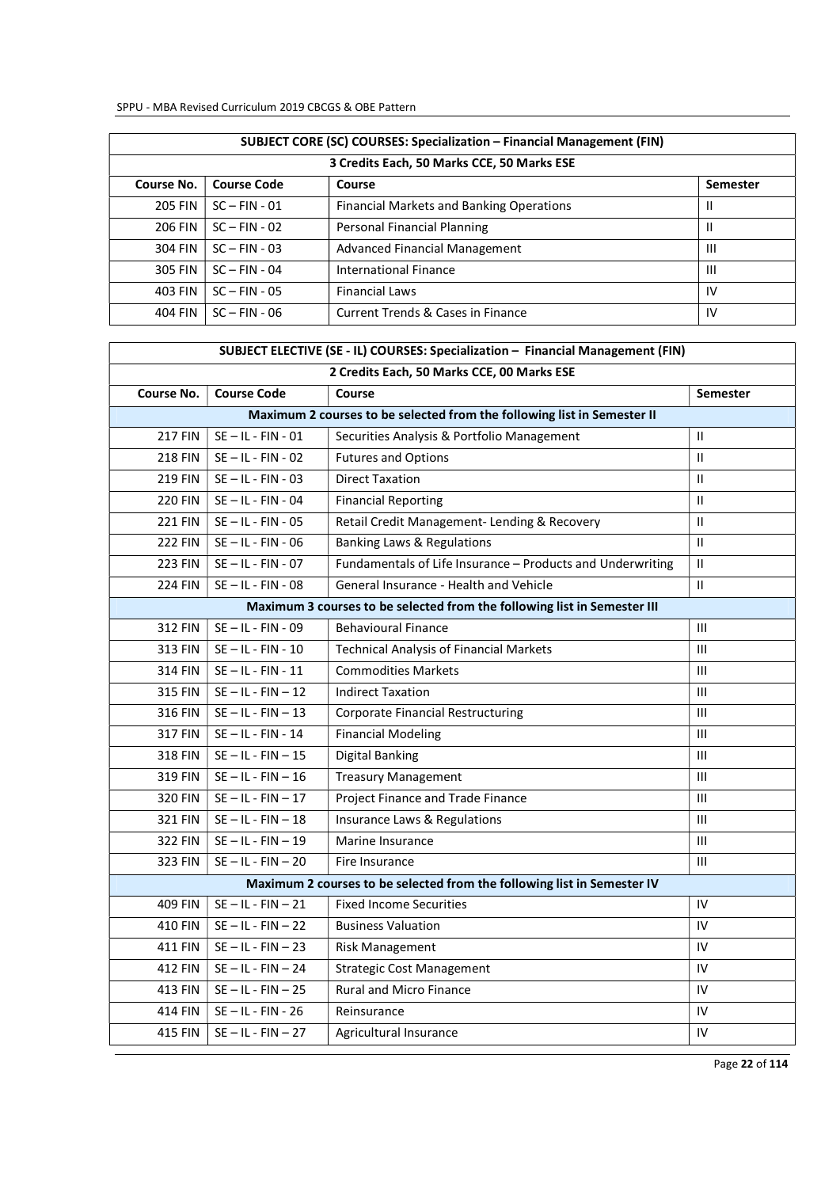| SUBJECT CORE (SC) COURSES: Specialization - Financial Management (FIN) |                                            |                                              |                |  |  |  |
|------------------------------------------------------------------------|--------------------------------------------|----------------------------------------------|----------------|--|--|--|
|                                                                        | 3 Credits Each, 50 Marks CCE, 50 Marks ESE |                                              |                |  |  |  |
| Course No.                                                             | <b>Course Code</b>                         | Course                                       | Semester       |  |  |  |
| <b>205 FIN</b>                                                         | $SC - FIN - O1$                            | Financial Markets and Banking Operations     | Ш              |  |  |  |
| 206 FIN                                                                | $SC - FIN - 02$                            | Personal Financial Planning                  | Ш              |  |  |  |
| 304 FIN                                                                | $SC - FIN - 03$                            | Advanced Financial Management                | Ш              |  |  |  |
| 305 FIN                                                                | $SC - FIN - 04$                            | <b>International Finance</b>                 | $\mathbf{III}$ |  |  |  |
| 403 FIN                                                                | $SC - FIN - OS$                            | <b>Financial Laws</b>                        | <b>IV</b>      |  |  |  |
| 404 FIN                                                                | $SC - FIN - 06$                            | <b>Current Trends &amp; Cases in Finance</b> | IV             |  |  |  |

| SUBJECT ELECTIVE (SE - IL) COURSES: Specialization - Financial Management (FIN) |                      |                                                                          |                 |  |  |
|---------------------------------------------------------------------------------|----------------------|--------------------------------------------------------------------------|-----------------|--|--|
| 2 Credits Each, 50 Marks CCE, 00 Marks ESE                                      |                      |                                                                          |                 |  |  |
| Course No.                                                                      | <b>Course Code</b>   | Course                                                                   | <b>Semester</b> |  |  |
|                                                                                 |                      | Maximum 2 courses to be selected from the following list in Semester II  |                 |  |  |
| <b>217 FIN</b>                                                                  | $SE - IL - FIN - 01$ | Securities Analysis & Portfolio Management                               | $\mathbf{II}$   |  |  |
| <b>218 FIN</b>                                                                  | $SE - IL - FIN - 02$ | <b>Futures and Options</b>                                               | $\mathbf{H}$    |  |  |
| <b>219 FIN</b>                                                                  | $SE - IL - FIN - 03$ | <b>Direct Taxation</b>                                                   | $\mathbf{H}$    |  |  |
| <b>220 FIN</b>                                                                  | $SE - IL - FIN - O4$ | <b>Financial Reporting</b>                                               | $\mathbf{H}$    |  |  |
| <b>221 FIN</b>                                                                  | $SE - IL - FIN - 05$ | Retail Credit Management- Lending & Recovery                             | $\mathbf{H}$    |  |  |
| <b>222 FIN</b>                                                                  | $SE - IL - FIN - 06$ | Banking Laws & Regulations                                               | $\mathbf{II}$   |  |  |
| <b>223 FIN</b>                                                                  | $SE - IL - FIN - 07$ | Fundamentals of Life Insurance - Products and Underwriting               | $\mathbf{II}$   |  |  |
| <b>224 FIN</b>                                                                  | $SE - IL - FIN - 08$ | General Insurance - Health and Vehicle                                   | $\mathbf{H}$    |  |  |
|                                                                                 |                      | Maximum 3 courses to be selected from the following list in Semester III |                 |  |  |
| 312 FIN                                                                         | SE-IL-FIN-09         | <b>Behavioural Finance</b>                                               | Ш               |  |  |
| 313 FIN                                                                         | $SE - IL - FIN - 10$ | <b>Technical Analysis of Financial Markets</b>                           | $\mathbf{III}$  |  |  |
| <b>314 FIN</b>                                                                  | $SE - IL - FIN - 11$ | <b>Commodities Markets</b>                                               | $\mathbf{III}$  |  |  |
| <b>315 FIN</b>                                                                  | $SE - IL - FIN - 12$ | <b>Indirect Taxation</b>                                                 | Ш               |  |  |
| 316 FIN                                                                         | $SE - IL - FIN - 13$ | <b>Corporate Financial Restructuring</b>                                 | $\mathbf{III}$  |  |  |
| <b>317 FIN</b>                                                                  | $SE - IL - FIN - 14$ | <b>Financial Modeling</b>                                                | $\mathbf{III}$  |  |  |
| 318 FIN                                                                         | $SE - IL - FIN - 15$ | <b>Digital Banking</b>                                                   | $\mathbf{III}$  |  |  |
| 319 FIN                                                                         | $SE - IL - FIN - 16$ | <b>Treasury Management</b>                                               | $\mathbf{III}$  |  |  |
| 320 FIN                                                                         | $SE - IL - FIN - 17$ | Project Finance and Trade Finance                                        | $\mathbf{III}$  |  |  |
| 321 FIN                                                                         | $SE - IL - FIN - 18$ | Insurance Laws & Regulations                                             | $\mathbf{III}$  |  |  |
| 322 FIN                                                                         | $SE - IL - FIN - 19$ | Marine Insurance                                                         | $\mathbf{III}$  |  |  |
| 323 FIN                                                                         | $SE - IL - FIN - 20$ | Fire Insurance                                                           | $\mathbf{III}$  |  |  |
|                                                                                 |                      | Maximum 2 courses to be selected from the following list in Semester IV  |                 |  |  |
| 409 FIN                                                                         | $SE - IL - FIN - 21$ | <b>Fixed Income Securities</b>                                           | IV              |  |  |
| <b>410 FIN</b>                                                                  | $SE - IL - FIN - 22$ | <b>Business Valuation</b>                                                | IV              |  |  |
| 411 FIN                                                                         | $SE - IL - FIN - 23$ | Risk Management                                                          | IV              |  |  |
| <b>412 FIN</b>                                                                  | $SE - IL - FIN - 24$ | <b>Strategic Cost Management</b>                                         | IV              |  |  |
| 413 FIN                                                                         | $SE - IL - FIN - 25$ | Rural and Micro Finance                                                  | IV              |  |  |
| 414 FIN                                                                         | $SE - IL - FIN - 26$ | Reinsurance                                                              | IV              |  |  |
| 415 FIN                                                                         | $SE - IL - FIN - 27$ | Agricultural Insurance                                                   | IV              |  |  |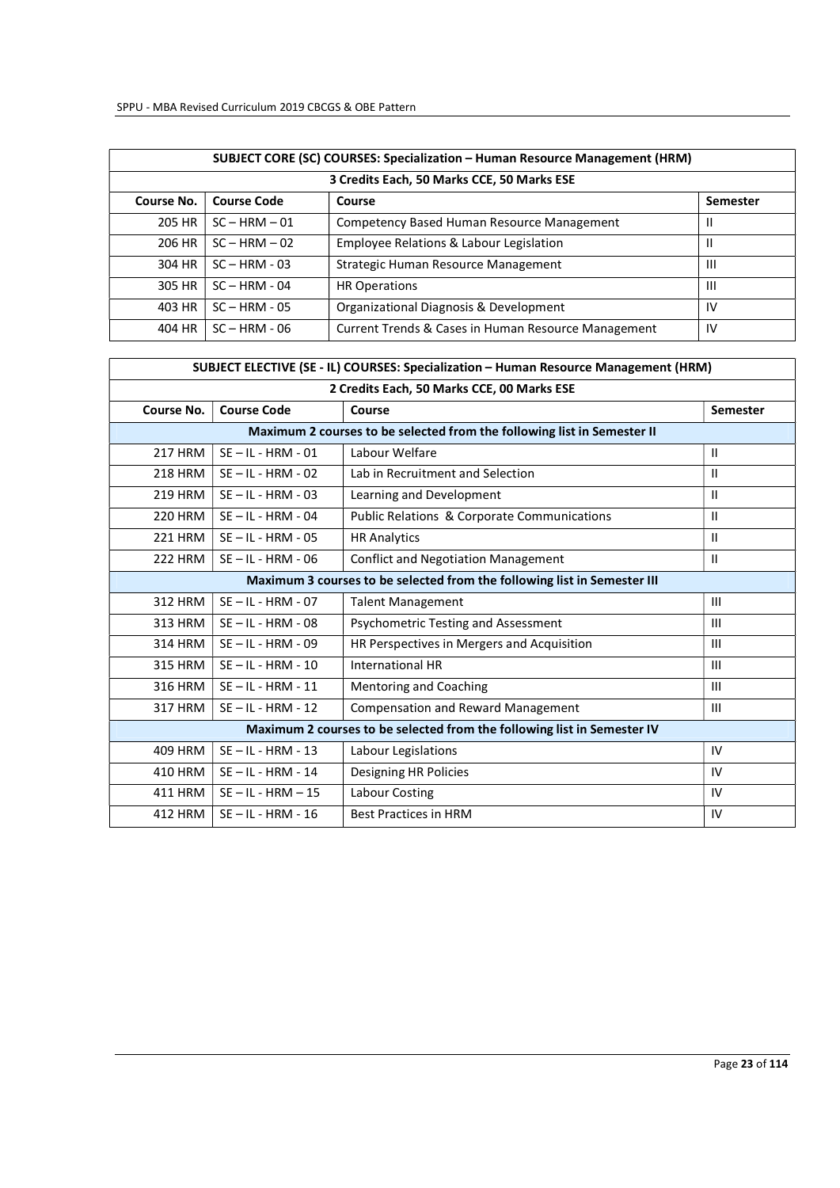|            | <b>SUBJECT CORE (SC) COURSES: Specialization - Human Resource Management (HRM)</b> |                                                     |          |  |  |  |  |
|------------|------------------------------------------------------------------------------------|-----------------------------------------------------|----------|--|--|--|--|
|            | 3 Credits Each, 50 Marks CCE, 50 Marks ESE                                         |                                                     |          |  |  |  |  |
| Course No. | <b>Course Code</b>                                                                 | Course                                              | Semester |  |  |  |  |
| 205 HR     | $SC - HRM - 01$                                                                    | Competency Based Human Resource Management          | Ш        |  |  |  |  |
| 206 HR     | $SC - HRM - 02$                                                                    | Employee Relations & Labour Legislation             | Ш        |  |  |  |  |
| 304 HR     | $SC = HRM - 03$                                                                    | Strategic Human Resource Management                 | Ш        |  |  |  |  |
| 305 HR     | $SC - HRM - 04$                                                                    | <b>HR Operations</b>                                | Ш        |  |  |  |  |
| 403 HR     | $SC - HRM - 05$                                                                    | Organizational Diagnosis & Development              | 1V       |  |  |  |  |
| 404 HR     | $SC = HRM - OG$                                                                    | Current Trends & Cases in Human Resource Management | IV       |  |  |  |  |

| SUBJECT ELECTIVE (SE - IL) COURSES: Specialization - Human Resource Management (HRM) |                      |                                                                          |                 |  |  |  |
|--------------------------------------------------------------------------------------|----------------------|--------------------------------------------------------------------------|-----------------|--|--|--|
| 2 Credits Each, 50 Marks CCE, 00 Marks ESE                                           |                      |                                                                          |                 |  |  |  |
| Course No.                                                                           | <b>Course Code</b>   | Course                                                                   | <b>Semester</b> |  |  |  |
|                                                                                      |                      | Maximum 2 courses to be selected from the following list in Semester II  |                 |  |  |  |
| <b>217 HRM</b>                                                                       | $SE - IL - HRM - 01$ | Labour Welfare                                                           | $\mathbf{H}$    |  |  |  |
| 218 HRM                                                                              | $SE - IL - HRM - 02$ | Lab in Recruitment and Selection                                         | Ш               |  |  |  |
| 219 HRM                                                                              | $SE - IL - HRM - 03$ | Learning and Development                                                 | $\mathbf{H}$    |  |  |  |
| 220 HRM                                                                              | $SE - IL - HRM - 04$ | <b>Public Relations &amp; Corporate Communications</b>                   | $\mathbf{H}$    |  |  |  |
| 221 HRM                                                                              | $SE - IL - HRM - 05$ | <b>HR Analytics</b>                                                      | $\mathbf{H}$    |  |  |  |
| <b>222 HRM</b>                                                                       | $SE - IL - HRM - 06$ | <b>Conflict and Negotiation Management</b>                               | $\mathbf{II}$   |  |  |  |
|                                                                                      |                      | Maximum 3 courses to be selected from the following list in Semester III |                 |  |  |  |
| 312 HRM                                                                              | $SE - IL - HRM - 07$ | <b>Talent Management</b>                                                 | III             |  |  |  |
| 313 HRM                                                                              | $SE - IL - HRM - 08$ | Psychometric Testing and Assessment                                      | III             |  |  |  |
| 314 HRM                                                                              | $SE - IL - HRM - 09$ | HR Perspectives in Mergers and Acquisition                               | III             |  |  |  |
| 315 HRM                                                                              | $SE - IL - HRM - 10$ | <b>International HR</b>                                                  | Ш               |  |  |  |
| 316 HRM                                                                              | $SE - IL - HRM - 11$ | <b>Mentoring and Coaching</b>                                            | III             |  |  |  |
| 317 HRM                                                                              | $SE - IL - HRM - 12$ | <b>Compensation and Reward Management</b>                                | III             |  |  |  |
| Maximum 2 courses to be selected from the following list in Semester IV              |                      |                                                                          |                 |  |  |  |
| 409 HRM                                                                              | $SE - IL - HRM - 13$ | Labour Legislations                                                      | IV              |  |  |  |
| 410 HRM                                                                              | $SE - IL - HRM - 14$ | Designing HR Policies                                                    | IV              |  |  |  |
| 411 HRM                                                                              | $SE - IL - HRM - 15$ | Labour Costing                                                           | IV              |  |  |  |
| 412 HRM                                                                              | $SE - IL - HRM - 16$ | <b>Best Practices in HRM</b>                                             | IV              |  |  |  |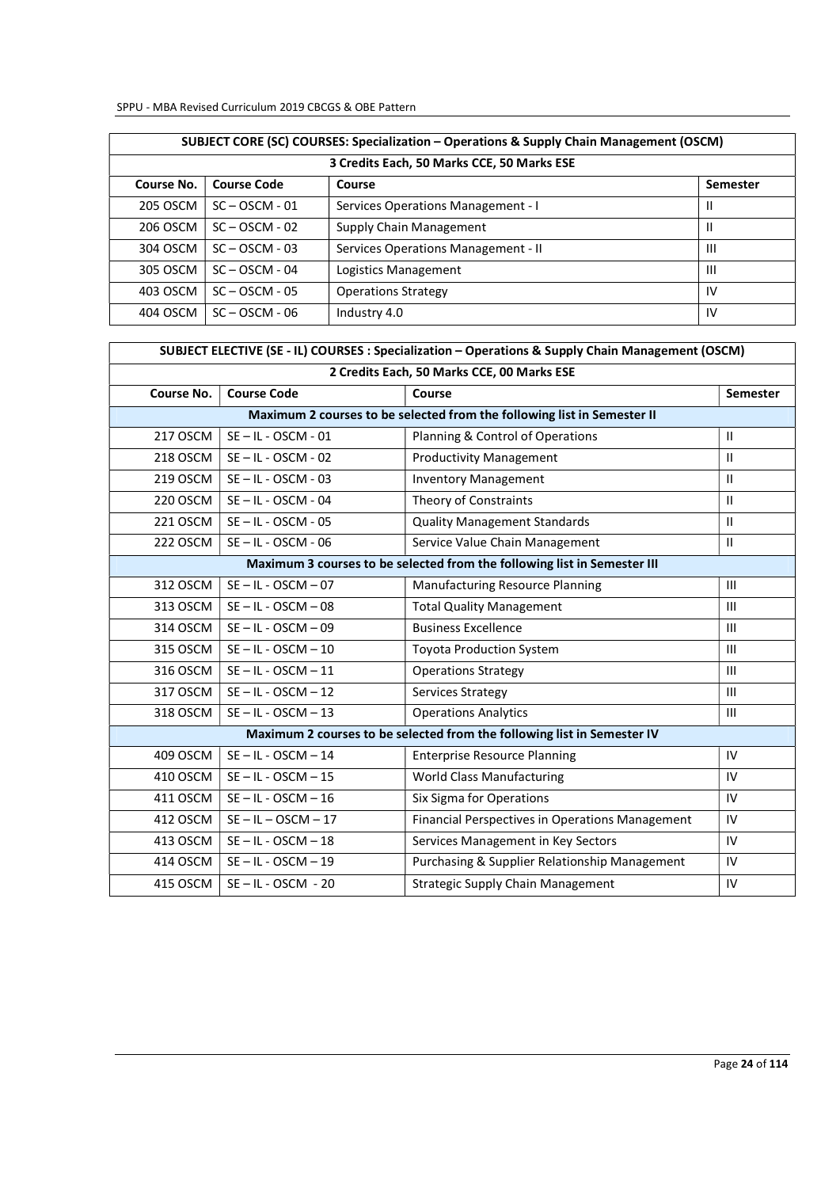| SUBJECT CORE (SC) COURSES: Specialization – Operations & Supply Chain Management (OSCM) |                                            |                                     |                 |  |
|-----------------------------------------------------------------------------------------|--------------------------------------------|-------------------------------------|-----------------|--|
|                                                                                         | 3 Credits Each, 50 Marks CCE, 50 Marks ESE |                                     |                 |  |
| Course No.                                                                              | <b>Course Code</b>                         | Course                              | <b>Semester</b> |  |
| 205 OSCM                                                                                | $SC - OSCM - 01$                           | Services Operations Management - I  | Ш               |  |
| 206 OSCM                                                                                | $SC - OSCM - 02$                           | Supply Chain Management             | $\mathbf{I}$    |  |
| 304 OSCM                                                                                | $SC - OSCM - 03$                           | Services Operations Management - II | Ш               |  |
| 305 OSCM                                                                                | $SC - OSCM - 04$                           | Logistics Management                | $\mathbf{III}$  |  |
| 403 OSCM                                                                                | $SC - OSCM - 05$                           | <b>Operations Strategy</b>          | IV              |  |
| 404 OSCM                                                                                | $SC - OSCM - 06$                           | Industry 4.0                        | 1V              |  |

| SUBJECT ELECTIVE (SE - IL) COURSES : Specialization - Operations & Supply Chain Management (OSCM) |                                          |                                                                          |              |  |  |
|---------------------------------------------------------------------------------------------------|------------------------------------------|--------------------------------------------------------------------------|--------------|--|--|
| 2 Credits Each, 50 Marks CCE, 00 Marks ESE                                                        |                                          |                                                                          |              |  |  |
| Course No.                                                                                        | <b>Course Code</b><br>Course<br>Semester |                                                                          |              |  |  |
|                                                                                                   |                                          | Maximum 2 courses to be selected from the following list in Semester II  |              |  |  |
| 217 OSCM                                                                                          | $SE - IL - OSCM - 01$                    | Planning & Control of Operations                                         | $\mathbf{H}$ |  |  |
| 218 OSCM                                                                                          | $SE - IL - OSCM - 02$                    | <b>Productivity Management</b>                                           | $\mathbf{H}$ |  |  |
| 219 OSCM                                                                                          | $SE - IL - OSCM - 03$                    | <b>Inventory Management</b>                                              | $\mathbf{H}$ |  |  |
| 220 OSCM                                                                                          | $SE - IL - OSCM - 04$                    | Theory of Constraints                                                    | $\mathbf{H}$ |  |  |
| 221 OSCM                                                                                          | $SE - IL - OSCM - 05$                    | <b>Quality Management Standards</b>                                      | $\mathbf{H}$ |  |  |
| 222 OSCM                                                                                          | $SE - IL - OSCM - 06$                    | Service Value Chain Management                                           | $\mathbf{H}$ |  |  |
|                                                                                                   |                                          | Maximum 3 courses to be selected from the following list in Semester III |              |  |  |
| 312 OSCM                                                                                          | $SE - IL - OSCM - 07$                    | <b>Manufacturing Resource Planning</b>                                   | III          |  |  |
| 313 OSCM                                                                                          | $SE - IL - OSCM - 08$                    | <b>Total Quality Management</b>                                          | III          |  |  |
| 314 OSCM                                                                                          | $SE - IL - OSCM - 09$                    | <b>Business Excellence</b>                                               | III          |  |  |
| 315 OSCM                                                                                          | $SE - IL - OSCM - 10$                    | <b>Toyota Production System</b>                                          | III          |  |  |
| 316 OSCM                                                                                          | $SE - IL - OSCM - 11$                    | <b>Operations Strategy</b>                                               | III          |  |  |
| 317 OSCM                                                                                          | $SE - IL - OSCM - 12$                    | Services Strategy                                                        | III          |  |  |
| 318 OSCM                                                                                          | $SE - IL - OSCM - 13$                    | <b>Operations Analytics</b>                                              | Ш            |  |  |
|                                                                                                   |                                          | Maximum 2 courses to be selected from the following list in Semester IV  |              |  |  |
| 409 OSCM                                                                                          | $SE - IL - OSCM - 14$                    | <b>Enterprise Resource Planning</b>                                      | IV           |  |  |
| 410 OSCM                                                                                          | $SE - IL - OSCM - 15$                    | <b>World Class Manufacturing</b>                                         | IV           |  |  |
| 411 OSCM                                                                                          | $SE - IL - OSCM - 16$                    | Six Sigma for Operations                                                 | IV           |  |  |
| 412 OSCM                                                                                          | $SE - IL - OSCM - 17$                    | Financial Perspectives in Operations Management                          | IV           |  |  |
| 413 OSCM                                                                                          | $SE - IL - OSCM - 18$                    | Services Management in Key Sectors                                       | IV           |  |  |
| 414 OSCM                                                                                          | $SE - IL - OSCM - 19$                    | Purchasing & Supplier Relationship Management                            | IV           |  |  |
| 415 OSCM                                                                                          | $SE - IL - OSCM - 20$                    | <b>Strategic Supply Chain Management</b>                                 | IV           |  |  |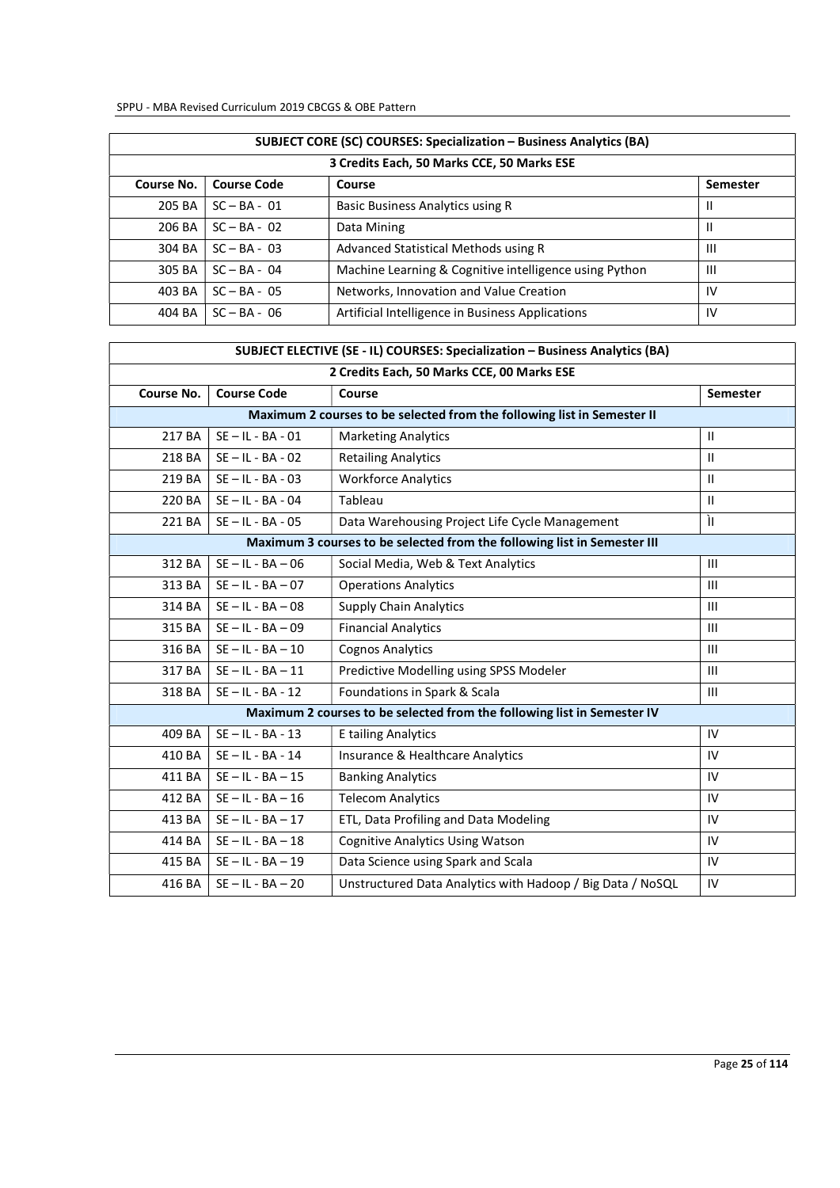| <b>SUBJECT CORE (SC) COURSES: Specialization - Business Analytics (BA)</b> |                                            |                                                        |                |  |
|----------------------------------------------------------------------------|--------------------------------------------|--------------------------------------------------------|----------------|--|
|                                                                            | 3 Credits Each, 50 Marks CCE, 50 Marks ESE |                                                        |                |  |
| Course No.                                                                 | <b>Course Code</b>                         | Course                                                 | Semester       |  |
| 205 BA                                                                     | $SC - BA - 01$                             | Basic Business Analytics using R                       |                |  |
| 206 BA                                                                     | $SC - BA - 02$                             | Data Mining                                            | Ш              |  |
| 304 BA                                                                     | $SC - BA - 03$                             | Advanced Statistical Methods using R                   | Ш              |  |
| 305 BA                                                                     | $SC - BA - 04$                             | Machine Learning & Cognitive intelligence using Python | $\mathbf{III}$ |  |
| 403 BA                                                                     | $SC - BA - 05$                             | Networks, Innovation and Value Creation                | IV             |  |
| 404 BA                                                                     | $SC - BA - 06$                             | Artificial Intelligence in Business Applications       | IV             |  |

| SUBJECT ELECTIVE (SE - IL) COURSES: Specialization - Business Analytics (BA) |                                                 |                                                                          |                |  |  |
|------------------------------------------------------------------------------|-------------------------------------------------|--------------------------------------------------------------------------|----------------|--|--|
| 2 Credits Each, 50 Marks CCE, 00 Marks ESE                                   |                                                 |                                                                          |                |  |  |
| Course No.                                                                   | <b>Course Code</b><br>Course<br><b>Semester</b> |                                                                          |                |  |  |
|                                                                              |                                                 | Maximum 2 courses to be selected from the following list in Semester II  |                |  |  |
| 217 BA                                                                       | $SE - IL - BA - 01$                             | <b>Marketing Analytics</b>                                               | $\mathbf{H}$   |  |  |
| 218 BA                                                                       | $SE - IL - BA - 02$                             | <b>Retailing Analytics</b>                                               | $\mathbf{H}$   |  |  |
| 219 BA                                                                       | $SE - IL - BA - 03$                             | <b>Workforce Analytics</b>                                               | $\mathbf{H}$   |  |  |
| 220 BA                                                                       | $SE - IL - BA - 04$                             | Tableau                                                                  | $\mathbf{H}$   |  |  |
| 221 BA                                                                       | $SE - IL - BA - 05$                             | Data Warehousing Project Life Cycle Management                           | ÌI             |  |  |
|                                                                              |                                                 | Maximum 3 courses to be selected from the following list in Semester III |                |  |  |
| 312 BA                                                                       | $SE - IL - BA - 06$                             | Social Media, Web & Text Analytics                                       | $\mathbf{III}$ |  |  |
| 313 BA                                                                       | $SE - IL - BA - 07$                             | <b>Operations Analytics</b>                                              | $\mathbf{III}$ |  |  |
| 314 BA                                                                       | $SE - IL - BA - 08$                             | <b>Supply Chain Analytics</b>                                            | $\mathbf{III}$ |  |  |
| 315 BA                                                                       | $SE - IL - BA - 09$                             | <b>Financial Analytics</b>                                               | $\mathbf{III}$ |  |  |
| 316 BA                                                                       | $SE - IL - BA - 10$                             | <b>Cognos Analytics</b>                                                  | $\mathbf{III}$ |  |  |
| 317 BA                                                                       | $SE - IL - BA - 11$                             | Predictive Modelling using SPSS Modeler                                  | $\mathbf{III}$ |  |  |
| 318 BA                                                                       | $SE - IL - BA - 12$                             | Foundations in Spark & Scala                                             | $\mathbf{III}$ |  |  |
|                                                                              |                                                 | Maximum 2 courses to be selected from the following list in Semester IV  |                |  |  |
| 409 BA                                                                       | $SE - IL - BA - 13$                             | E tailing Analytics                                                      | IV             |  |  |
| 410 BA                                                                       | $SE - IL - BA - 14$                             | Insurance & Healthcare Analytics                                         | IV             |  |  |
| 411 BA                                                                       | $SE - IL - BA - 15$                             | <b>Banking Analytics</b>                                                 | IV             |  |  |
| 412 BA                                                                       | $SE - IL - BA - 16$                             | <b>Telecom Analytics</b>                                                 | IV             |  |  |
| 413 BA                                                                       | $SE - IL - BA - 17$                             | ETL, Data Profiling and Data Modeling                                    | IV             |  |  |
| 414 BA                                                                       | $SE - IL - BA - 18$                             | <b>Cognitive Analytics Using Watson</b>                                  | IV             |  |  |
| 415 BA                                                                       | $SE - IL - BA - 19$                             | Data Science using Spark and Scala                                       | IV             |  |  |
| 416 BA                                                                       | $SE - IL - BA - 20$                             | Unstructured Data Analytics with Hadoop / Big Data / NoSQL               | IV             |  |  |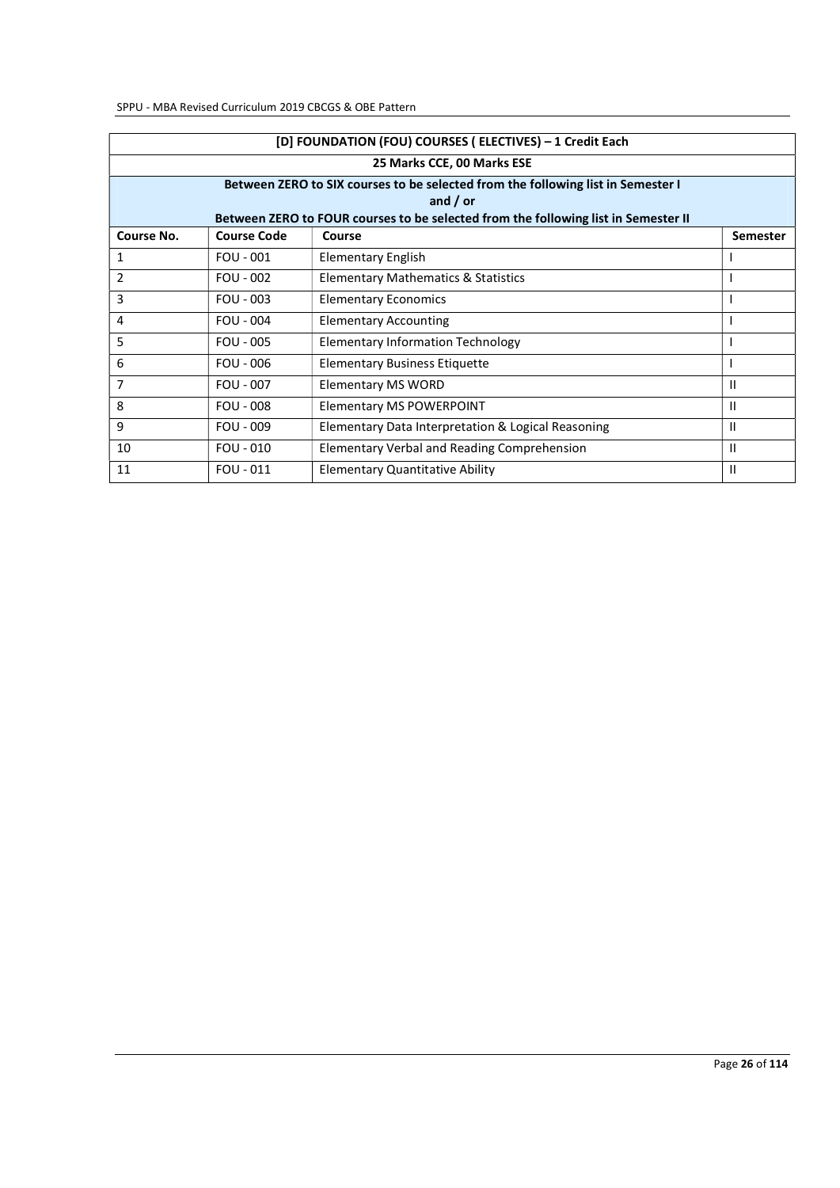| [D] FOUNDATION (FOU) COURSES ( ELECTIVES) - 1 Credit Each |                            |                                                                                                  |                 |  |  |
|-----------------------------------------------------------|----------------------------|--------------------------------------------------------------------------------------------------|-----------------|--|--|
|                                                           | 25 Marks CCE, 00 Marks ESE |                                                                                                  |                 |  |  |
|                                                           |                            | Between ZERO to SIX courses to be selected from the following list in Semester I                 |                 |  |  |
|                                                           |                            | and $/$ or<br>Between ZERO to FOUR courses to be selected from the following list in Semester II |                 |  |  |
| Course No.                                                | <b>Course Code</b>         | Course                                                                                           | <b>Semester</b> |  |  |
| 1                                                         | FOU - 001                  | Elementary English                                                                               |                 |  |  |
|                                                           |                            |                                                                                                  |                 |  |  |
| 2                                                         | $FOU - 002$                | <b>Elementary Mathematics &amp; Statistics</b>                                                   | <sup>1</sup>    |  |  |
| 3                                                         | $FOU - 003$                | <b>Elementary Economics</b>                                                                      |                 |  |  |
| 4                                                         | $FOU - 004$                | <b>Elementary Accounting</b>                                                                     |                 |  |  |
| 5                                                         | $FOU - 005$                | <b>Elementary Information Technology</b>                                                         |                 |  |  |
| 6                                                         | $FOU - 006$                | <b>Elementary Business Etiquette</b>                                                             |                 |  |  |
| 7                                                         | <b>FOU - 007</b>           | Elementary MS WORD                                                                               | Ш               |  |  |
| 8                                                         | $FOU - 008$                | <b>Elementary MS POWERPOINT</b>                                                                  | Ш               |  |  |
| 9                                                         | $FOU - 009$                | Elementary Data Interpretation & Logical Reasoning                                               | Ш               |  |  |
| 10                                                        | $FOU - 010$                | Elementary Verbal and Reading Comprehension                                                      | $\mathbf{I}$    |  |  |
| 11                                                        | $FOU - 011$                | <b>Elementary Quantitative Ability</b>                                                           | $\mathbf{I}$    |  |  |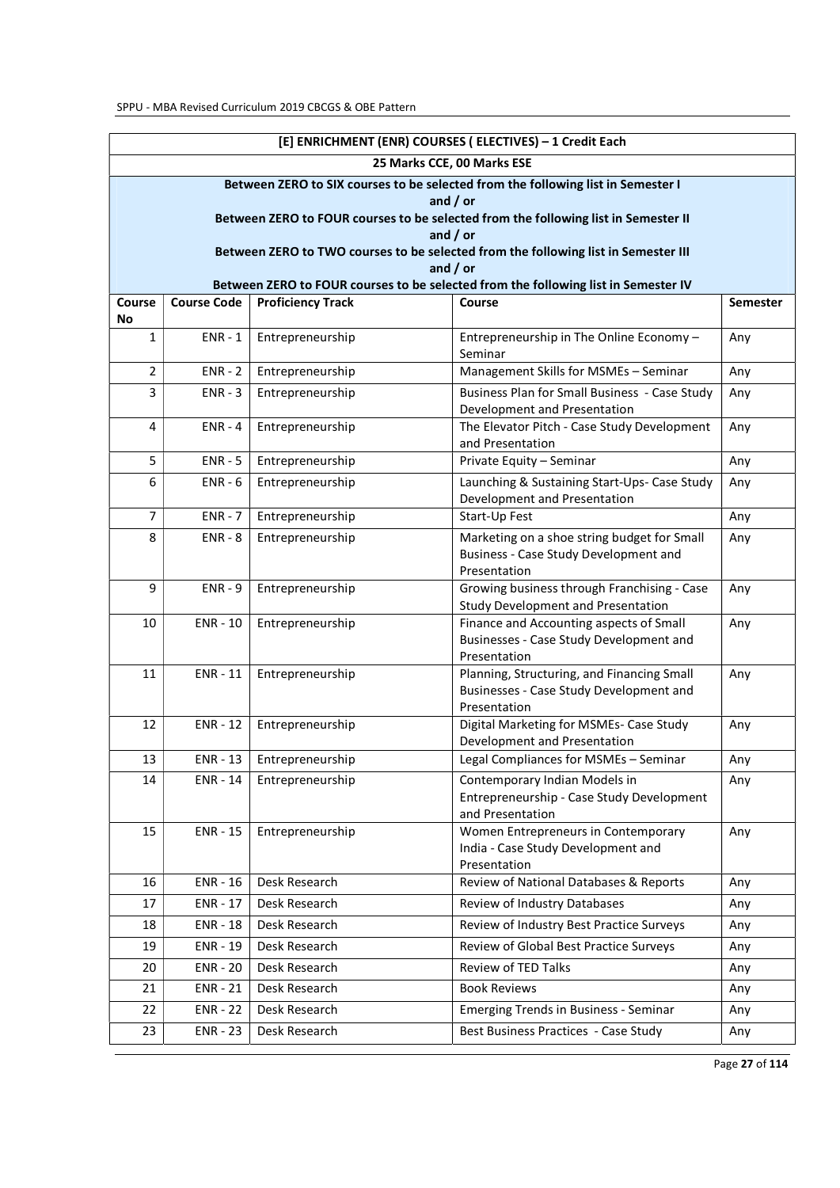|                | [E] ENRICHMENT (ENR) COURSES ( ELECTIVES) - 1 Credit Each                          |                             |                                                                                                  |                 |  |
|----------------|------------------------------------------------------------------------------------|-----------------------------|--------------------------------------------------------------------------------------------------|-----------------|--|
|                |                                                                                    |                             | 25 Marks CCE, 00 Marks ESE                                                                       |                 |  |
|                |                                                                                    |                             | Between ZERO to SIX courses to be selected from the following list in Semester I                 |                 |  |
|                |                                                                                    |                             | and $/$ or<br>Between ZERO to FOUR courses to be selected from the following list in Semester II |                 |  |
|                |                                                                                    |                             | and $/$ or                                                                                       |                 |  |
|                |                                                                                    |                             | Between ZERO to TWO courses to be selected from the following list in Semester III               |                 |  |
|                |                                                                                    |                             | and $/$ or                                                                                       |                 |  |
|                | Between ZERO to FOUR courses to be selected from the following list in Semester IV |                             |                                                                                                  |                 |  |
| Course<br>No   | <b>Course Code</b>                                                                 | <b>Proficiency Track</b>    | Course                                                                                           | <b>Semester</b> |  |
| 1              | $ENR - 1$                                                                          | Entrepreneurship            | Entrepreneurship in The Online Economy -<br>Seminar                                              | Any             |  |
| $\overline{2}$ | $ENR - 2$                                                                          | Entrepreneurship            | Management Skills for MSMEs - Seminar                                                            | Any             |  |
| 3              | $ENR - 3$                                                                          | Entrepreneurship            | Business Plan for Small Business - Case Study                                                    | Any             |  |
|                |                                                                                    |                             | Development and Presentation                                                                     |                 |  |
| 4              | $ENR - 4$                                                                          | Entrepreneurship            | The Elevator Pitch - Case Study Development<br>and Presentation                                  | Any             |  |
| 5              | $ENR - 5$                                                                          | Entrepreneurship            | Private Equity - Seminar                                                                         | Any             |  |
| 6              | $ENR - 6$                                                                          | Entrepreneurship            | Launching & Sustaining Start-Ups- Case Study                                                     | Any             |  |
|                |                                                                                    |                             | Development and Presentation                                                                     |                 |  |
| $\overline{7}$ | $ENR - 7$                                                                          | Entrepreneurship            | Start-Up Fest                                                                                    | Any             |  |
| 8              | $ENR - 8$                                                                          | Entrepreneurship            | Marketing on a shoe string budget for Small                                                      | Any             |  |
|                |                                                                                    |                             | Business - Case Study Development and<br>Presentation                                            |                 |  |
| 9              | $ENR - 9$                                                                          | Entrepreneurship            | Growing business through Franchising - Case                                                      | Any             |  |
|                |                                                                                    |                             | Study Development and Presentation                                                               |                 |  |
| 10             | $ENR - 10$                                                                         | Entrepreneurship            | Finance and Accounting aspects of Small                                                          | Any             |  |
|                |                                                                                    |                             | Businesses - Case Study Development and<br>Presentation                                          |                 |  |
| 11             | $ENR - 11$                                                                         | Entrepreneurship            | Planning, Structuring, and Financing Small                                                       | Any             |  |
|                |                                                                                    |                             | Businesses - Case Study Development and                                                          |                 |  |
|                |                                                                                    |                             | Presentation                                                                                     |                 |  |
| 12             | <b>ENR - 12</b>                                                                    | Entrepreneurship            | Digital Marketing for MSMEs- Case Study<br>Development and Presentation                          | Any             |  |
| 13             |                                                                                    | ENR - 13   Entrepreneurship | Legal Compliances for MSMEs - Seminar                                                            | Any             |  |
| 14             | ENR - 14                                                                           | Entrepreneurship            | Contemporary Indian Models in                                                                    | Any             |  |
|                |                                                                                    |                             | Entrepreneurship - Case Study Development                                                        |                 |  |
|                |                                                                                    |                             | and Presentation                                                                                 |                 |  |
| 15             | <b>ENR - 15</b>                                                                    | Entrepreneurship            | Women Entrepreneurs in Contemporary                                                              | Any             |  |
|                |                                                                                    |                             | India - Case Study Development and<br>Presentation                                               |                 |  |
| 16             | <b>ENR - 16</b>                                                                    | Desk Research               | Review of National Databases & Reports                                                           | Any             |  |
| 17             | <b>ENR - 17</b>                                                                    | Desk Research               | Review of Industry Databases                                                                     | Any             |  |
| 18             | <b>ENR - 18</b>                                                                    | Desk Research               | Review of Industry Best Practice Surveys                                                         | Any             |  |
| 19             | <b>ENR - 19</b>                                                                    | Desk Research               | Review of Global Best Practice Surveys                                                           | Any             |  |
| 20             | <b>ENR - 20</b>                                                                    | Desk Research               | Review of TED Talks                                                                              | Any             |  |
| 21             | $ENR - 21$                                                                         | Desk Research               | <b>Book Reviews</b>                                                                              | Any             |  |
| 22             | <b>ENR - 22</b>                                                                    | Desk Research               | <b>Emerging Trends in Business - Seminar</b>                                                     | Any             |  |
| 23             | <b>ENR - 23</b>                                                                    | Desk Research               | Best Business Practices - Case Study                                                             | Any             |  |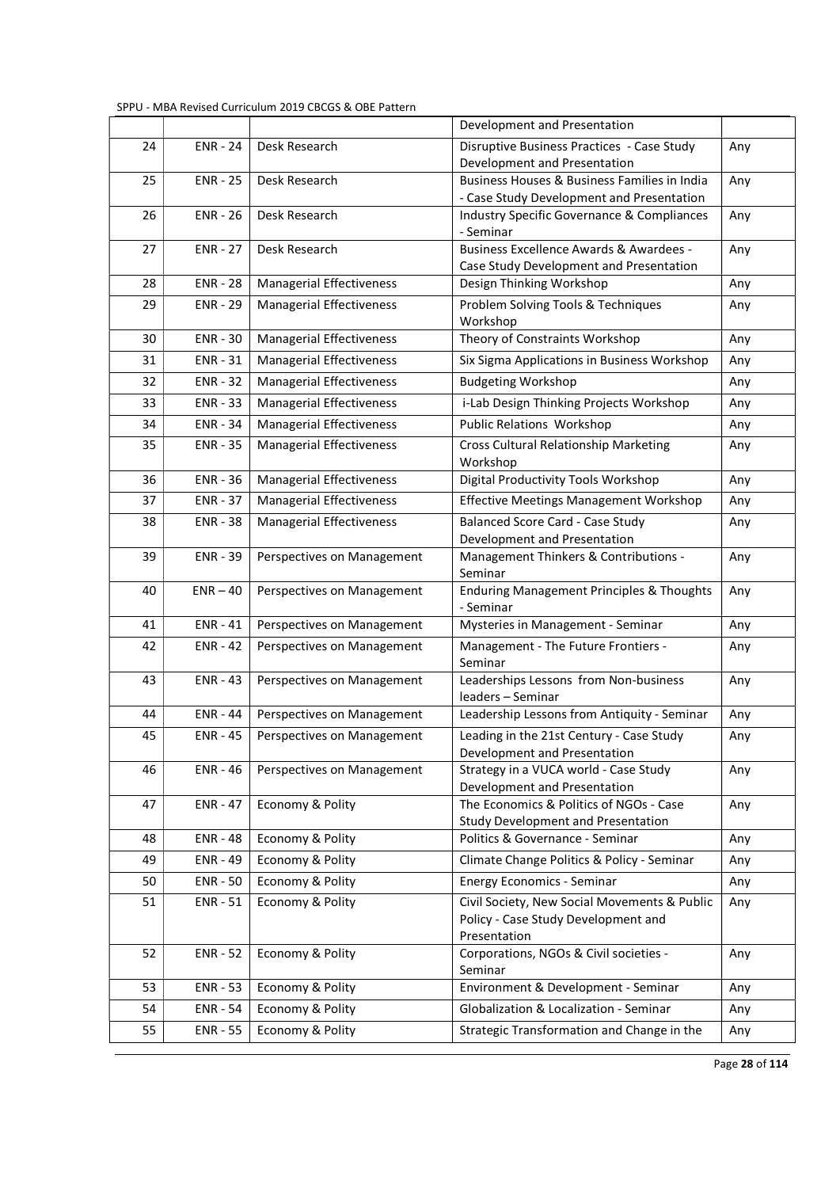|    |                 |                                 | Development and Presentation                                          |     |
|----|-----------------|---------------------------------|-----------------------------------------------------------------------|-----|
| 24 | <b>ENR - 24</b> | Desk Research                   | Disruptive Business Practices - Case Study                            | Any |
|    |                 |                                 | Development and Presentation                                          |     |
| 25 | <b>ENR - 25</b> | Desk Research                   | Business Houses & Business Families in India                          | Any |
|    |                 |                                 | - Case Study Development and Presentation                             |     |
| 26 | <b>ENR - 26</b> | Desk Research                   | <b>Industry Specific Governance &amp; Compliances</b><br>- Seminar    | Any |
| 27 | <b>ENR - 27</b> | Desk Research                   | Business Excellence Awards & Awardees -                               | Any |
|    |                 |                                 | Case Study Development and Presentation                               |     |
| 28 | <b>ENR - 28</b> | <b>Managerial Effectiveness</b> | Design Thinking Workshop                                              | Any |
| 29 | <b>ENR - 29</b> | <b>Managerial Effectiveness</b> | Problem Solving Tools & Techniques                                    | Any |
|    |                 |                                 | Workshop                                                              |     |
| 30 | <b>ENR - 30</b> | <b>Managerial Effectiveness</b> | Theory of Constraints Workshop                                        | Any |
| 31 | <b>ENR-31</b>   | Managerial Effectiveness        | Six Sigma Applications in Business Workshop                           | Any |
| 32 | <b>ENR - 32</b> | <b>Managerial Effectiveness</b> | <b>Budgeting Workshop</b>                                             | Any |
| 33 | <b>ENR - 33</b> | <b>Managerial Effectiveness</b> | i-Lab Design Thinking Projects Workshop                               | Any |
| 34 | <b>ENR - 34</b> | <b>Managerial Effectiveness</b> | Public Relations Workshop                                             | Any |
| 35 | <b>ENR - 35</b> | Managerial Effectiveness        | <b>Cross Cultural Relationship Marketing</b><br>Workshop              | Any |
| 36 | <b>ENR - 36</b> | <b>Managerial Effectiveness</b> | Digital Productivity Tools Workshop                                   | Any |
| 37 | <b>ENR - 37</b> | <b>Managerial Effectiveness</b> | <b>Effective Meetings Management Workshop</b>                         | Any |
| 38 | <b>ENR - 38</b> | <b>Managerial Effectiveness</b> | <b>Balanced Score Card - Case Study</b>                               | Any |
|    |                 |                                 | Development and Presentation                                          |     |
| 39 | <b>ENR - 39</b> | Perspectives on Management      | Management Thinkers & Contributions -<br>Seminar                      | Any |
| 40 | $ENR - 40$      | Perspectives on Management      | <b>Enduring Management Principles &amp; Thoughts</b><br>- Seminar     | Any |
| 41 | <b>ENR - 41</b> | Perspectives on Management      | Mysteries in Management - Seminar                                     | Any |
| 42 | <b>ENR - 42</b> | Perspectives on Management      | Management - The Future Frontiers -<br>Seminar                        | Any |
| 43 | <b>ENR - 43</b> | Perspectives on Management      | Leaderships Lessons from Non-business<br>leaders - Seminar            | Any |
| 44 | <b>ENR - 44</b> | Perspectives on Management      | Leadership Lessons from Antiquity - Seminar                           | Any |
| 45 | <b>ENR - 45</b> | Perspectives on Management      | Leading in the 21st Century - Case Study                              | Any |
|    |                 |                                 | Development and Presentation                                          |     |
| 46 | <b>ENR - 46</b> | Perspectives on Management      | Strategy in a VUCA world - Case Study<br>Development and Presentation | Any |
| 47 | <b>ENR - 47</b> | Economy & Polity                | The Economics & Politics of NGOs - Case                               | Any |
|    |                 |                                 | Study Development and Presentation                                    |     |
| 48 | <b>ENR - 48</b> | Economy & Polity                | Politics & Governance - Seminar                                       | Any |
| 49 | <b>ENR - 49</b> | Economy & Polity                | Climate Change Politics & Policy - Seminar                            | Any |
| 50 | <b>ENR - 50</b> | Economy & Polity                | <b>Energy Economics - Seminar</b>                                     | Any |
| 51 | <b>ENR - 51</b> | Economy & Polity                | Civil Society, New Social Movements & Public                          | Any |
|    |                 |                                 | Policy - Case Study Development and<br>Presentation                   |     |
| 52 | <b>ENR - 52</b> | Economy & Polity                | Corporations, NGOs & Civil societies -<br>Seminar                     | Any |
| 53 | <b>ENR - 53</b> | Economy & Polity                | Environment & Development - Seminar                                   | Any |
| 54 | <b>ENR - 54</b> | Economy & Polity                | Globalization & Localization - Seminar                                | Any |
| 55 | <b>ENR - 55</b> | Economy & Polity                | Strategic Transformation and Change in the                            | Any |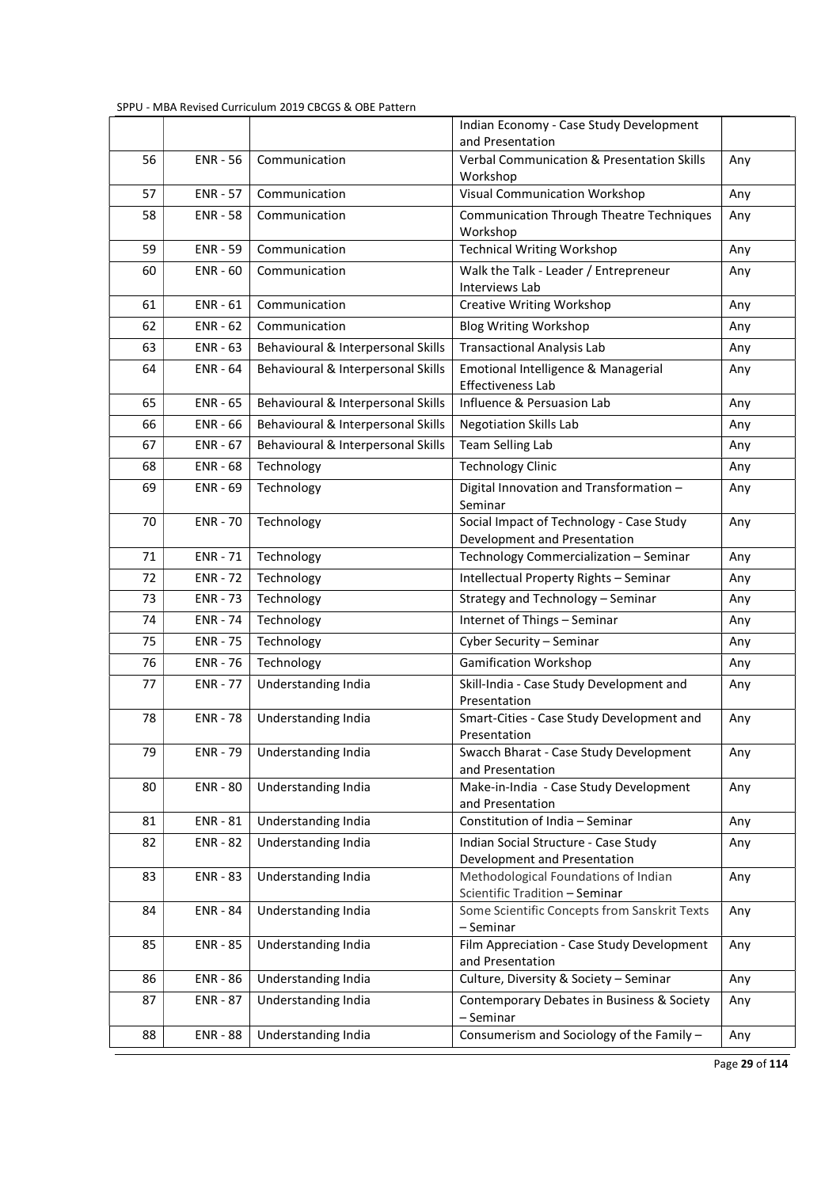|    |                 |                                    | Indian Economy - Case Study Development                                  |     |
|----|-----------------|------------------------------------|--------------------------------------------------------------------------|-----|
|    |                 |                                    | and Presentation                                                         |     |
| 56 | <b>ENR - 56</b> | Communication                      | <b>Verbal Communication &amp; Presentation Skills</b><br>Workshop        | Any |
| 57 | <b>ENR - 57</b> | Communication                      | Visual Communication Workshop                                            | Any |
| 58 | <b>ENR - 58</b> | Communication                      | <b>Communication Through Theatre Techniques</b><br>Workshop              | Any |
| 59 | <b>ENR - 59</b> | Communication                      | <b>Technical Writing Workshop</b>                                        | Any |
| 60 | $ENR - 60$      | Communication                      | Walk the Talk - Leader / Entrepreneur<br>Interviews Lab                  | Any |
| 61 | $ENR - 61$      | Communication                      | <b>Creative Writing Workshop</b>                                         | Any |
| 62 | $ENR - 62$      | Communication                      | <b>Blog Writing Workshop</b>                                             | Any |
| 63 | <b>ENR - 63</b> | Behavioural & Interpersonal Skills | <b>Transactional Analysis Lab</b>                                        | Any |
| 64 | <b>ENR - 64</b> | Behavioural & Interpersonal Skills | Emotional Intelligence & Managerial<br><b>Effectiveness Lab</b>          | Any |
| 65 | <b>ENR - 65</b> | Behavioural & Interpersonal Skills | Influence & Persuasion Lab                                               | Any |
| 66 | <b>ENR - 66</b> | Behavioural & Interpersonal Skills | <b>Negotiation Skills Lab</b>                                            | Any |
| 67 | <b>ENR - 67</b> | Behavioural & Interpersonal Skills | <b>Team Selling Lab</b>                                                  | Any |
| 68 | <b>ENR - 68</b> | Technology                         | <b>Technology Clinic</b>                                                 | Any |
| 69 | <b>ENR - 69</b> | Technology                         | Digital Innovation and Transformation -<br>Seminar                       | Any |
| 70 | <b>ENR - 70</b> | Technology                         | Social Impact of Technology - Case Study<br>Development and Presentation | Any |
| 71 | <b>ENR - 71</b> | Technology                         | Technology Commercialization - Seminar                                   | Any |
| 72 | <b>ENR - 72</b> | Technology                         | Intellectual Property Rights - Seminar                                   | Any |
| 73 | <b>ENR - 73</b> | Technology                         | Strategy and Technology - Seminar                                        | Any |
| 74 | <b>ENR - 74</b> | Technology                         | Internet of Things - Seminar                                             | Any |
| 75 | <b>ENR - 75</b> | Technology                         | Cyber Security - Seminar                                                 | Any |
| 76 | <b>ENR - 76</b> | Technology                         | <b>Gamification Workshop</b>                                             | Any |
| 77 | <b>ENR - 77</b> | Understanding India                | Skill-India - Case Study Development and<br>Presentation                 | Any |
| 78 | <b>ENR - 78</b> | Understanding India                | Smart-Cities - Case Study Development and<br>Presentation                | Any |
| 79 | <b>ENR - 79</b> | Understanding India                | Swacch Bharat - Case Study Development<br>and Presentation               | Any |
| 80 | <b>ENR - 80</b> | Understanding India                | Make-in-India - Case Study Development<br>and Presentation               | Any |
| 81 | <b>ENR - 81</b> | Understanding India                | Constitution of India - Seminar                                          | Any |
| 82 | <b>ENR - 82</b> | Understanding India                | Indian Social Structure - Case Study<br>Development and Presentation     | Any |
| 83 | <b>ENR - 83</b> | Understanding India                | Methodological Foundations of Indian<br>Scientific Tradition - Seminar   | Any |
| 84 | <b>ENR - 84</b> | Understanding India                | Some Scientific Concepts from Sanskrit Texts<br>- Seminar                | Any |
| 85 | <b>ENR - 85</b> | Understanding India                | Film Appreciation - Case Study Development<br>and Presentation           | Any |
| 86 | <b>ENR - 86</b> | Understanding India                | Culture, Diversity & Society - Seminar                                   | Any |
| 87 | <b>ENR - 87</b> | Understanding India                | Contemporary Debates in Business & Society<br>- Seminar                  | Any |
| 88 | <b>ENR - 88</b> | Understanding India                | Consumerism and Sociology of the Family -                                | Any |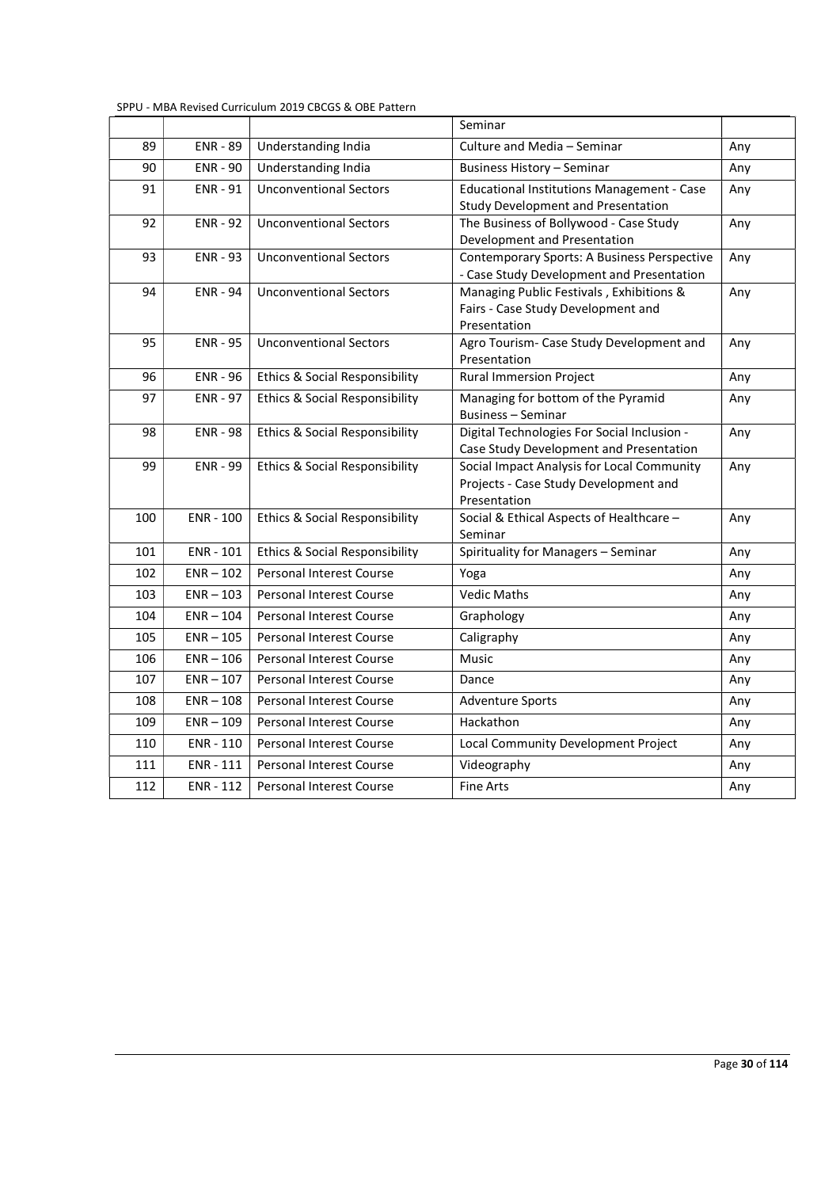|     |                  |                                           | Seminar                                                                                  |     |
|-----|------------------|-------------------------------------------|------------------------------------------------------------------------------------------|-----|
| 89  | <b>ENR - 89</b>  | Understanding India                       | Culture and Media - Seminar                                                              | Any |
| 90  | <b>ENR - 90</b>  | Understanding India                       | <b>Business History - Seminar</b>                                                        | Any |
| 91  | <b>ENR - 91</b>  | <b>Unconventional Sectors</b>             | <b>Educational Institutions Management - Case</b>                                        | Any |
|     |                  |                                           | <b>Study Development and Presentation</b>                                                |     |
| 92  | <b>ENR - 92</b>  | <b>Unconventional Sectors</b>             | The Business of Bollywood - Case Study                                                   | Any |
|     |                  |                                           | Development and Presentation                                                             |     |
| 93  | <b>ENR - 93</b>  | <b>Unconventional Sectors</b>             | Contemporary Sports: A Business Perspective<br>- Case Study Development and Presentation | Any |
| 94  | <b>ENR - 94</b>  | <b>Unconventional Sectors</b>             | Managing Public Festivals, Exhibitions &                                                 | Any |
|     |                  |                                           | Fairs - Case Study Development and                                                       |     |
|     |                  |                                           | Presentation                                                                             |     |
| 95  | <b>ENR - 95</b>  | <b>Unconventional Sectors</b>             | Agro Tourism- Case Study Development and<br>Presentation                                 | Any |
| 96  | <b>ENR - 96</b>  | <b>Ethics &amp; Social Responsibility</b> | <b>Rural Immersion Project</b>                                                           | Any |
| 97  | <b>ENR - 97</b>  | <b>Ethics &amp; Social Responsibility</b> | Managing for bottom of the Pyramid                                                       | Any |
|     |                  |                                           | <b>Business - Seminar</b>                                                                |     |
| 98  | <b>ENR - 98</b>  | <b>Ethics &amp; Social Responsibility</b> | Digital Technologies For Social Inclusion -                                              | Any |
|     |                  |                                           | Case Study Development and Presentation                                                  |     |
| 99  | <b>ENR - 99</b>  | Ethics & Social Responsibility            | Social Impact Analysis for Local Community                                               | Any |
|     |                  |                                           | Projects - Case Study Development and<br>Presentation                                    |     |
| 100 | <b>ENR - 100</b> | <b>Ethics &amp; Social Responsibility</b> | Social & Ethical Aspects of Healthcare -                                                 | Any |
|     |                  |                                           | Seminar                                                                                  |     |
| 101 | ENR - 101        | <b>Ethics &amp; Social Responsibility</b> | Spirituality for Managers - Seminar                                                      | Any |
| 102 | $ENR - 102$      | <b>Personal Interest Course</b>           | Yoga                                                                                     | Any |
| 103 | $ENR - 103$      | <b>Personal Interest Course</b>           | <b>Vedic Maths</b>                                                                       | Any |
| 104 | $ENR - 104$      | <b>Personal Interest Course</b>           | Graphology                                                                               | Any |
| 105 | $ENR - 105$      | Personal Interest Course                  | Caligraphy                                                                               | Any |
| 106 | $ENR - 106$      | <b>Personal Interest Course</b>           | <b>Music</b>                                                                             | Any |
| 107 | $ENR - 107$      | <b>Personal Interest Course</b>           | Dance                                                                                    | Any |
| 108 | $ENR - 108$      | Personal Interest Course                  | <b>Adventure Sports</b>                                                                  | Any |
| 109 | $ENR - 109$      | <b>Personal Interest Course</b>           | Hackathon                                                                                | Any |
| 110 | ENR - 110        | <b>Personal Interest Course</b>           | Local Community Development Project                                                      | Any |
| 111 | ENR - 111        | Personal Interest Course                  | Videography                                                                              | Any |
| 112 | ENR - 112        | Personal Interest Course                  | <b>Fine Arts</b>                                                                         | Any |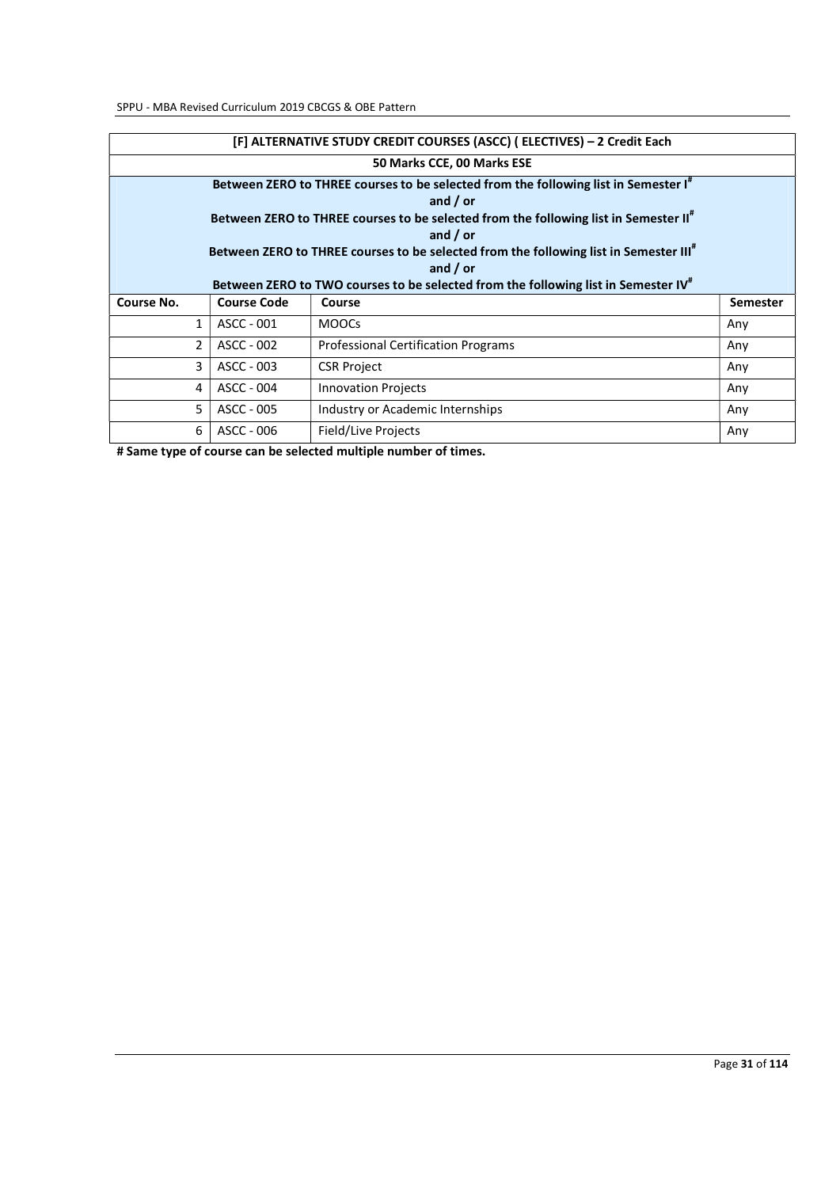| [F] ALTERNATIVE STUDY CREDIT COURSES (ASCC) (ELECTIVES) - 2 Credit Each |                    |                                                                                                   |                 |  |
|-------------------------------------------------------------------------|--------------------|---------------------------------------------------------------------------------------------------|-----------------|--|
|                                                                         |                    | 50 Marks CCE, 00 Marks ESE                                                                        |                 |  |
|                                                                         |                    | Between ZERO to THREE courses to be selected from the following list in Semester I"               |                 |  |
|                                                                         |                    | and $/$ or                                                                                        |                 |  |
|                                                                         |                    | Between ZERO to THREE courses to be selected from the following list in Semester II <sup>#</sup>  |                 |  |
|                                                                         |                    | and $/$ or                                                                                        |                 |  |
|                                                                         |                    | Between ZERO to THREE courses to be selected from the following list in Semester III <sup>#</sup> |                 |  |
|                                                                         |                    | and $/$ or                                                                                        |                 |  |
|                                                                         |                    | Between ZERO to TWO courses to be selected from the following list in Semester IV"                |                 |  |
| Course No.                                                              | <b>Course Code</b> | Course                                                                                            | <b>Semester</b> |  |
| $\mathbf{1}$                                                            | ASCC - 001         | <b>MOOCS</b>                                                                                      | Any             |  |
| $\overline{2}$                                                          | ASCC - 002         | <b>Professional Certification Programs</b>                                                        |                 |  |
|                                                                         |                    |                                                                                                   | Any             |  |
| 3                                                                       | ASCC - 003         | <b>CSR Project</b>                                                                                | Any             |  |
| 4                                                                       | ASCC - 004         | <b>Innovation Projects</b>                                                                        | Any             |  |
| 5                                                                       | ASCC - 005         | Industry or Academic Internships                                                                  | Any             |  |

# Same type of course can be selected multiple number of times.